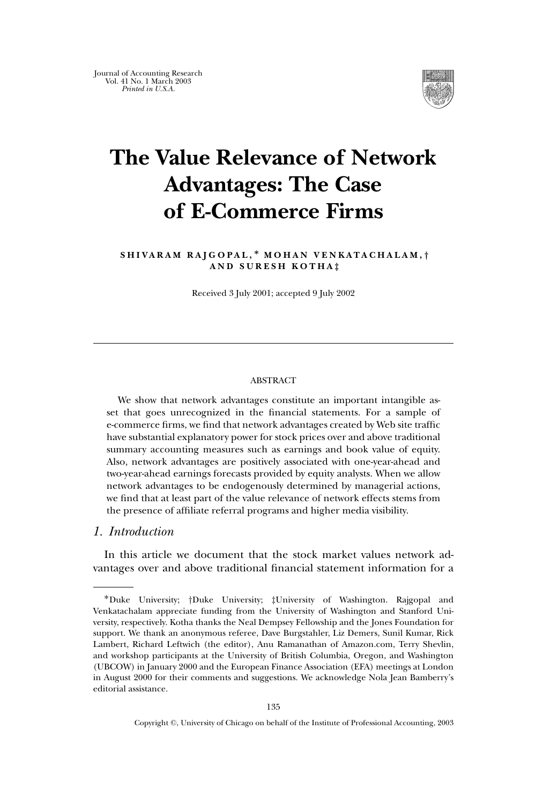

# **The Value Relevance of Network Advantages: The Case of E-Commerce Firms**

**SHIVARAM RAJGOPAL,** *∗* **MOHAN VENKATACHALAM,** *†* **AND SURESH KOTHA** *‡*

Received 3 July 2001; accepted 9 July 2002

#### ABSTRACT

We show that network advantages constitute an important intangible asset that goes unrecognized in the financial statements. For a sample of e-commerce firms, we find that network advantages created by Web site traffic have substantial explanatory power for stock prices over and above traditional summary accounting measures such as earnings and book value of equity. Also, network advantages are positively associated with one-year-ahead and two-year-ahead earnings forecasts provided by equity analysts. When we allow network advantages to be endogenously determined by managerial actions, we find that at least part of the value relevance of network effects stems from the presence of affiliate referral programs and higher media visibility.

## *1. Introduction*

In this article we document that the stock market values network advantages over and above traditional financial statement information for a

<sup>∗</sup>Duke University; †Duke University; ‡University of Washington. Rajgopal and Venkatachalam appreciate funding from the University of Washington and Stanford University, respectively. Kotha thanks the Neal Dempsey Fellowship and the Jones Foundation for support. We thank an anonymous referee, Dave Burgstahler, Liz Demers, Sunil Kumar, Rick Lambert, Richard Leftwich (the editor), Anu Ramanathan of Amazon.com, Terry Shevlin, and workshop participants at the University of British Columbia, Oregon, and Washington (UBCOW) in January 2000 and the European Finance Association (EFA) meetings at London in August 2000 for their comments and suggestions. We acknowledge Nola Jean Bamberry's editorial assistance.

Copyright ©, University of Chicago on behalf of the Institute of Professional Accounting, 2003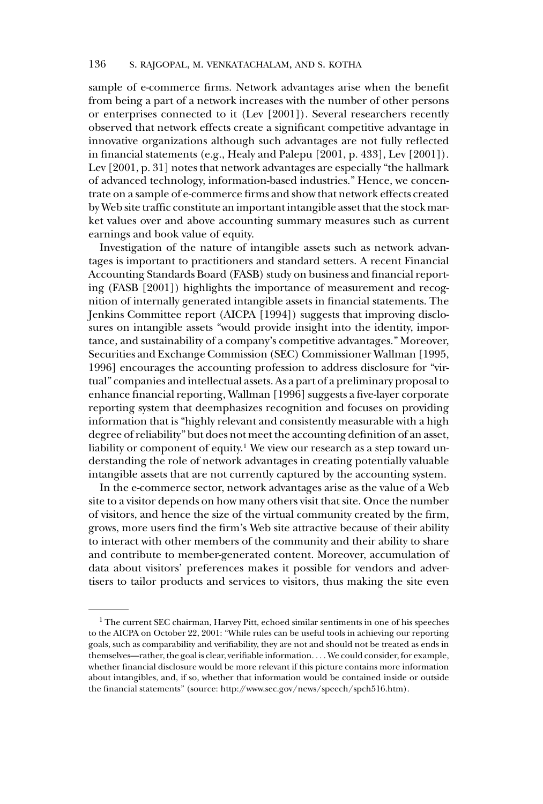sample of e-commerce firms. Network advantages arise when the benefit from being a part of a network increases with the number of other persons or enterprises connected to it (Lev [2001]). Several researchers recently observed that network effects create a significant competitive advantage in innovative organizations although such advantages are not fully reflected in financial statements (e.g., Healy and Palepu [2001, p. 433], Lev [2001]). Lev [2001, p. 31] notes that network advantages are especially "the hallmark of advanced technology, information-based industries." Hence, we concentrate on a sample of e-commerce firms and show that network effects created by Web site traffic constitute an important intangible asset that the stock market values over and above accounting summary measures such as current earnings and book value of equity.

Investigation of the nature of intangible assets such as network advantages is important to practitioners and standard setters. A recent Financial Accounting Standards Board (FASB) study on business and financial reporting (FASB [2001]) highlights the importance of measurement and recognition of internally generated intangible assets in financial statements. The Jenkins Committee report (AICPA [1994]) suggests that improving disclosures on intangible assets "would provide insight into the identity, importance, and sustainability of a company's competitive advantages." Moreover, Securities and Exchange Commission (SEC) Commissioner Wallman [1995, 1996] encourages the accounting profession to address disclosure for "virtual" companies and intellectual assets. As a part of a preliminary proposal to enhance financial reporting, Wallman [1996] suggests a five-layer corporate reporting system that deemphasizes recognition and focuses on providing information that is "highly relevant and consistently measurable with a high degree of reliability" but does not meet the accounting definition of an asset, liability or component of equity.<sup>1</sup> We view our research as a step toward understanding the role of network advantages in creating potentially valuable intangible assets that are not currently captured by the accounting system.

In the e-commerce sector, network advantages arise as the value of a Web site to a visitor depends on how many others visit that site. Once the number of visitors, and hence the size of the virtual community created by the firm, grows, more users find the firm's Web site attractive because of their ability to interact with other members of the community and their ability to share and contribute to member-generated content. Moreover, accumulation of data about visitors' preferences makes it possible for vendors and advertisers to tailor products and services to visitors, thus making the site even

<sup>&</sup>lt;sup>1</sup> The current SEC chairman, Harvey Pitt, echoed similar sentiments in one of his speeches to the AICPA on October 22, 2001: "While rules can be useful tools in achieving our reporting goals, such as comparability and verifiability, they are not and should not be treated as ends in themselves—rather, the goal is clear, verifiable information. ... We could consider, for example, whether financial disclosure would be more relevant if this picture contains more information about intangibles, and, if so, whether that information would be contained inside or outside the financial statements" (source: http://www.sec.gov/news/speech/spch516.htm).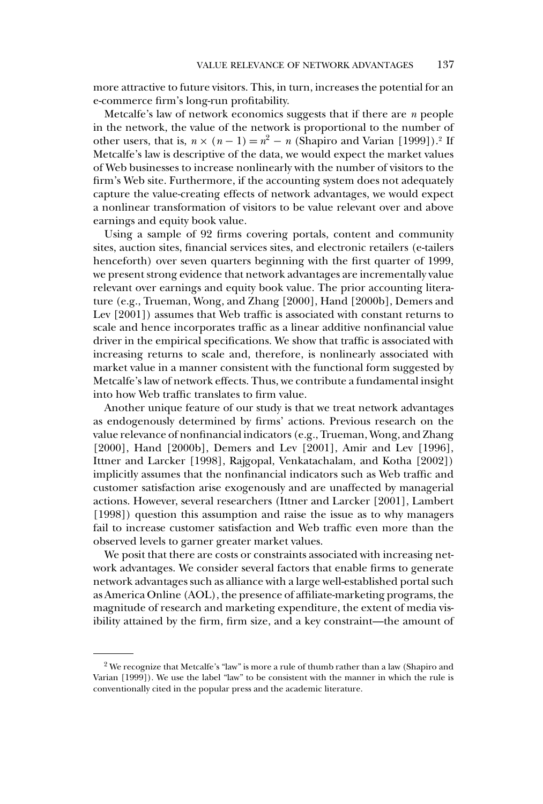more attractive to future visitors. This, in turn, increases the potential for an e-commerce firm's long-run profitability.

Metcalfe's law of network economics suggests that if there are *n* people in the network, the value of the network is proportional to the number of other users, that is,  $n \times (n-1) = n^2 - n$  (Shapiro and Varian [1999]).<sup>2</sup> If Metcalfe's law is descriptive of the data, we would expect the market values of Web businesses to increase nonlinearly with the number of visitors to the firm's Web site. Furthermore, if the accounting system does not adequately capture the value-creating effects of network advantages, we would expect a nonlinear transformation of visitors to be value relevant over and above earnings and equity book value.

Using a sample of 92 firms covering portals, content and community sites, auction sites, financial services sites, and electronic retailers (e-tailers henceforth) over seven quarters beginning with the first quarter of 1999, we present strong evidence that network advantages are incrementally value relevant over earnings and equity book value. The prior accounting literature (e.g., Trueman, Wong, and Zhang [2000], Hand [2000b], Demers and Lev [2001]) assumes that Web traffic is associated with constant returns to scale and hence incorporates traffic as a linear additive nonfinancial value driver in the empirical specifications. We show that traffic is associated with increasing returns to scale and, therefore, is nonlinearly associated with market value in a manner consistent with the functional form suggested by Metcalfe's law of network effects. Thus, we contribute a fundamental insight into how Web traffic translates to firm value.

Another unique feature of our study is that we treat network advantages as endogenously determined by firms' actions. Previous research on the value relevance of nonfinancial indicators (e.g., Trueman, Wong, and Zhang [2000], Hand [2000b], Demers and Lev [2001], Amir and Lev [1996], Ittner and Larcker [1998], Rajgopal, Venkatachalam, and Kotha [2002]) implicitly assumes that the nonfinancial indicators such as Web traffic and customer satisfaction arise exogenously and are unaffected by managerial actions. However, several researchers (Ittner and Larcker [2001], Lambert [1998]) question this assumption and raise the issue as to why managers fail to increase customer satisfaction and Web traffic even more than the observed levels to garner greater market values.

We posit that there are costs or constraints associated with increasing network advantages. We consider several factors that enable firms to generate network advantages such as alliance with a large well-established portal such as America Online (AOL), the presence of affiliate-marketing programs, the magnitude of research and marketing expenditure, the extent of media visibility attained by the firm, firm size, and a key constraint—the amount of

<sup>&</sup>lt;sup>2</sup> We recognize that Metcalfe's "law" is more a rule of thumb rather than a law (Shapiro and Varian [1999]). We use the label "law" to be consistent with the manner in which the rule is conventionally cited in the popular press and the academic literature.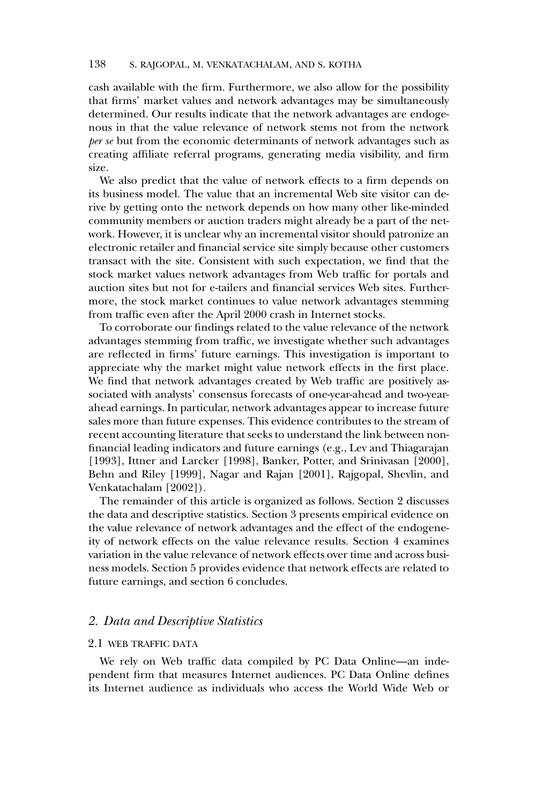cash available with the firm. Furthermore, we also allow for the possibility that firms' market values and network advantages may be simultaneously determined. Our results indicate that the network advantages are endogenous in that the value relevance of network stems not from the network *per se* but from the economic determinants of network advantages such as creating affiliate referral programs, generating media visibility, and firm size.

We also predict that the value of network effects to a firm depends on its business model. The value that an incremental Web site visitor can derive by getting onto the network depends on how many other like-minded community members or auction traders might already be a part of the network. However, it is unclear why an incremental visitor should patronize an electronic retailer and financial service site simply because other customers transact with the site. Consistent with such expectation, we find that the stock market values network advantages from Web traffic for portals and auction sites but not for e-tailers and financial services Web sites. Furthermore, the stock market continues to value network advantages stemming from traffic even after the April 2000 crash in Internet stocks.

To corroborate our findings related to the value relevance of the network advantages stemming from traffic, we investigate whether such advantages are reflected in firms' future earnings. This investigation is important to appreciate why the market might value network effects in the first place. We find that network advantages created by Web traffic are positively associated with analysts' consensus forecasts of one-year-ahead and two-yearahead earnings. In particular, network advantages appear to increase future sales more than future expenses. This evidence contributes to the stream of recent accounting literature that seeks to understand the link between nonfinancial leading indicators and future earnings (e.g., Lev and Thiagarajan [1993], Ittner and Larcker [1998], Banker, Potter, and Srinivasan [2000], Behn and Riley [1999], Nagar and Rajan [2001], Rajgopal, Shevlin, and Venkatachalam [2002]).

The remainder of this article is organized as follows. Section 2 discusses the data and descriptive statistics. Section 3 presents empirical evidence on the value relevance of network advantages and the effect of the endogeneity of network effects on the value relevance results. Section 4 examines variation in the value relevance of network effects over time and across business models. Section 5 provides evidence that network effects are related to future earnings, and section 6 concludes.

## *2. Data and Descriptive Statistics*

## 2.1 WEB TRAFFIC DATA

We rely on Web traffic data compiled by PC Data Online—an independent firm that measures Internet audiences. PC Data Online defines its Internet audience as individuals who access the World Wide Web or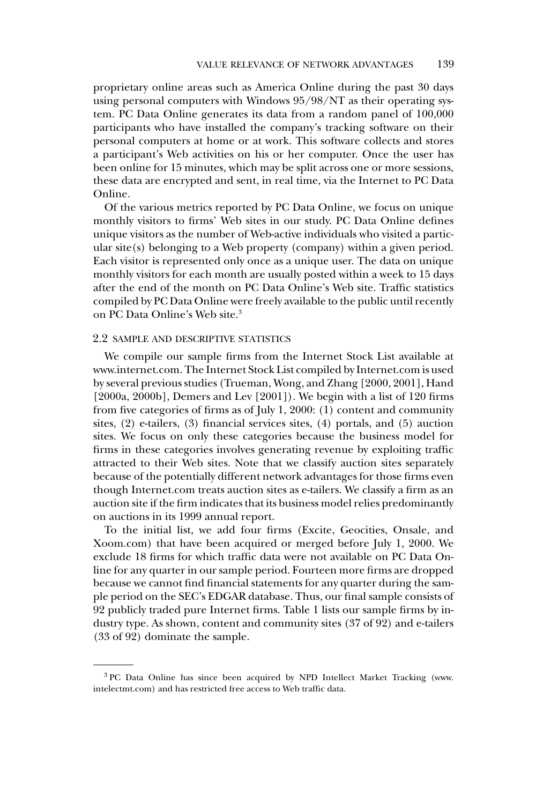proprietary online areas such as America Online during the past 30 days using personal computers with Windows 95/98/NT as their operating system. PC Data Online generates its data from a random panel of 100,000 participants who have installed the company's tracking software on their personal computers at home or at work. This software collects and stores a participant's Web activities on his or her computer. Once the user has been online for 15 minutes, which may be split across one or more sessions, these data are encrypted and sent, in real time, via the Internet to PC Data Online.

Of the various metrics reported by PC Data Online, we focus on unique monthly visitors to firms' Web sites in our study. PC Data Online defines unique visitors as the number of Web-active individuals who visited a particular site(s) belonging to a Web property (company) within a given period. Each visitor is represented only once as a unique user. The data on unique monthly visitors for each month are usually posted within a week to 15 days after the end of the month on PC Data Online's Web site. Traffic statistics compiled by PC Data Online were freely available to the public until recently on PC Data Online's Web site.3

## 2.2 SAMPLE AND DESCRIPTIVE STATISTICS

We compile our sample firms from the Internet Stock List available at www.internet.com. The Internet Stock List compiled by Internet.com is used by several previous studies (Trueman, Wong, and Zhang [2000, 2001], Hand [2000a, 2000b], Demers and Lev [2001]). We begin with a list of 120 firms from five categories of firms as of July 1, 2000: (1) content and community sites, (2) e-tailers, (3) financial services sites, (4) portals, and (5) auction sites. We focus on only these categories because the business model for firms in these categories involves generating revenue by exploiting traffic attracted to their Web sites. Note that we classify auction sites separately because of the potentially different network advantages for those firms even though Internet.com treats auction sites as e-tailers. We classify a firm as an auction site if the firm indicates that its business model relies predominantly on auctions in its 1999 annual report.

To the initial list, we add four firms (Excite, Geocities, Onsale, and Xoom.com) that have been acquired or merged before July 1, 2000. We exclude 18 firms for which traffic data were not available on PC Data Online for any quarter in our sample period. Fourteen more firms are dropped because we cannot find financial statements for any quarter during the sample period on the SEC's EDGAR database. Thus, our final sample consists of 92 publicly traded pure Internet firms. Table 1 lists our sample firms by industry type. As shown, content and community sites (37 of 92) and e-tailers (33 of 92) dominate the sample.

<sup>3</sup> PC Data Online has since been acquired by NPD Intellect Market Tracking (www. intelectmt.com) and has restricted free access to Web traffic data.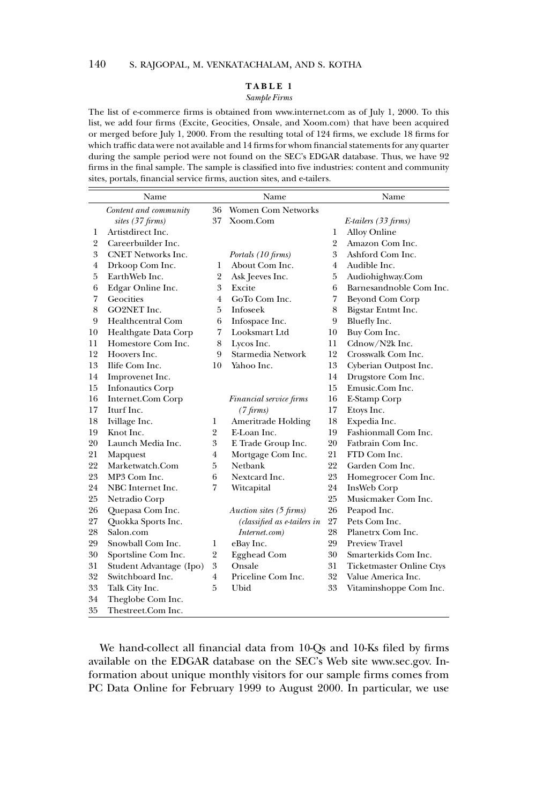#### *Sample Firms*

The list of e-commerce firms is obtained from www.internet.com as of July 1, 2000. To this list, we add four firms (Excite, Geocities, Onsale, and Xoom.com) that have been acquired or merged before July 1, 2000. From the resulting total of 124 firms, we exclude 18 firms for which traffic data were not available and 14 firms for whom financial statements for any quarter during the sample period were not found on the SEC's EDGAR database. Thus, we have 92 firms in the final sample. The sample is classified into five industries: content and community sites, portals, financial service firms, auction sites, and e-tailers.

|                | Name                      |                | Name                        | Name           |                                 |  |
|----------------|---------------------------|----------------|-----------------------------|----------------|---------------------------------|--|
|                | Content and community     | 36             | <b>Women Com Networks</b>   |                |                                 |  |
|                | sites (37 firms)          | 37             | Xoom.Com                    |                | E-tailers (33 firms)            |  |
| 1              | Artistdirect Inc.         |                |                             | 1              | Alloy Online                    |  |
| $\overline{2}$ | Careerbuilder Inc.        |                |                             | $\overline{2}$ | Amazon Com Inc.                 |  |
| 3              | <b>CNET Networks Inc.</b> |                | Portals (10 firms)          | 3              | Ashford Com Inc.                |  |
| 4              | Drkoop Com Inc.           | 1              | About Com Inc.              | $\overline{4}$ | Audible Inc.                    |  |
| 5              | EarthWeb Inc.             | 2              | Ask Jeeves Inc.             | 5              | Audiohighway.Com                |  |
| 6              | Edgar Online Inc.         | 3              | Excite                      | 6              | Barnesandnoble Com Inc.         |  |
| 7              | Geocities                 | 4              | GoTo Com Inc.               | 7              | <b>Beyond Com Corp</b>          |  |
| 8              | GO2NET Inc.               | 5              | Infoseek                    | 8              | Bigstar Entmt Inc.              |  |
| 9              | Healthcentral Com         | 6              | Infospace Inc.              | 9              | Bluefly Inc.                    |  |
| 10             | Healthgate Data Corp      | 7              | Looksmart Ltd               | 10             | Buy Com Inc.                    |  |
| 11             | Homestore Com Inc.        | 8              | Lycos Inc.                  | 11             | Cdnow/N2k Inc.                  |  |
| 12             | Hoovers Inc.              | 9              | Starmedia Network           | 12             | Crosswalk Com Inc.              |  |
| 13             | Ilife Com Inc.            | 10             | Yahoo Inc.                  | 13             | Cyberian Outpost Inc.           |  |
| 14             | Improvenet Inc.           |                |                             | 14             | Drugstore Com Inc.              |  |
| 15             | <b>Infonautics Corp</b>   |                |                             | 15             | Emusic.Com Inc.                 |  |
| 16             | Internet.Com Corp         |                | Financial service firms     | 16             | <b>E-Stamp Corp</b>             |  |
| 17             | Iturf Inc.                |                | $(7 \, \text{frms})$        | 17             | Etoys Inc.                      |  |
| 18             | Ivillage Inc.             | 1              | Ameritrade Holding          | 18             | Expedia Inc.                    |  |
| 19             | Knot Inc.                 | $\overline{2}$ | E-Loan Inc.                 | 19             | Fashionmall Com Inc.            |  |
| 20             | Launch Media Inc.         | 3              | E Trade Group Inc.          | 20             | Fatbrain Com Inc.               |  |
| 21             | Mapquest                  | 4              | Mortgage Com Inc.           | 21             | FTD Com Inc.                    |  |
| 22             | Marketwatch.Com           | 5              | Netbank                     | 22             | Garden Com Inc.                 |  |
| 23             | MP3 Com Inc.              | 6              | Nextcard Inc.               | 23             | Homegrocer Com Inc.             |  |
| 24             | NBC Internet Inc.         | 7              | Witcapital                  | 24             | InsWeb Corp                     |  |
| 25             | Netradio Corp             |                |                             | 25             | Musicmaker Com Inc.             |  |
| 26             | Quepasa Com Inc.          |                | Auction sites (5 firms)     | 26             | Peapod Inc.                     |  |
| 27             | Quokka Sports Inc.        |                | (classified as e-tailers in | 27             | Pets Com Inc.                   |  |
| 28             | Salon.com                 |                | Internet.com)               | 28             | Planetrx Com Inc.               |  |
| 29             | Snowball Com Inc.         | 1              | eBay Inc.                   | 29             | <b>Preview Travel</b>           |  |
| 30             | Sportsline Com Inc.       | $\overline{2}$ | Egghead Com                 | 30             | Smarterkids Com Inc.            |  |
| 31             | Student Advantage (Ipo)   | 3              | Onsale                      | 31             | <b>Ticketmaster Online Ctys</b> |  |
| 32             | Switchboard Inc.          | $\overline{4}$ | Priceline Com Inc.          | 32             | Value America Inc.              |  |
| 33             | Talk City Inc.            | 5              | Ubid                        | 33             | Vitaminshoppe Com Inc.          |  |
| 34             | Theglobe Com Inc.         |                |                             |                |                                 |  |
| 35             | Thestreet.Com Inc.        |                |                             |                |                                 |  |

We hand-collect all financial data from 10-Qs and 10-Ks filed by firms available on the EDGAR database on the SEC's Web site www.sec.gov. Information about unique monthly visitors for our sample firms comes from PC Data Online for February 1999 to August 2000. In particular, we use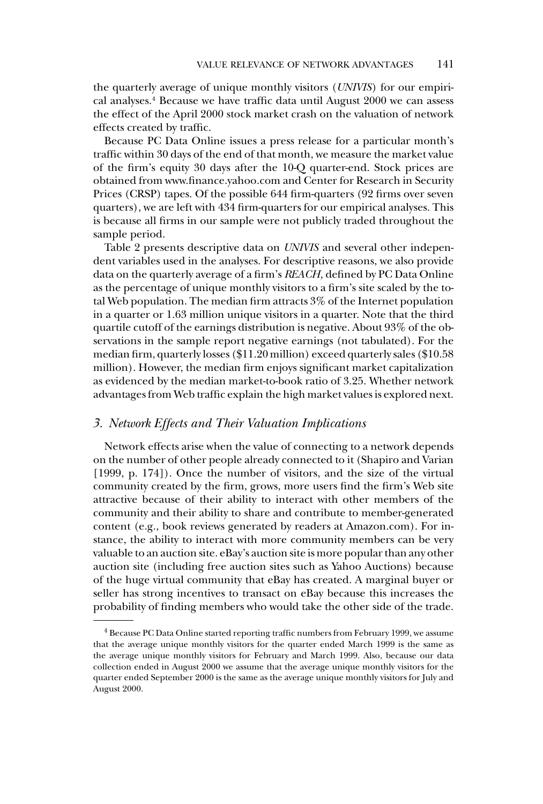the quarterly average of unique monthly visitors (*UNIVIS*) for our empirical analyses.4 Because we have traffic data until August 2000 we can assess the effect of the April 2000 stock market crash on the valuation of network effects created by traffic.

Because PC Data Online issues a press release for a particular month's traffic within 30 days of the end of that month, we measure the market value of the firm's equity 30 days after the 10-Q quarter-end. Stock prices are obtained from www.finance.yahoo.com and Center for Research in Security Prices (CRSP) tapes. Of the possible 644 firm-quarters (92 firms over seven quarters), we are left with 434 firm-quarters for our empirical analyses. This is because all firms in our sample were not publicly traded throughout the sample period.

Table 2 presents descriptive data on *UNIVIS* and several other independent variables used in the analyses. For descriptive reasons, we also provide data on the quarterly average of a firm's *REACH,* defined by PC Data Online as the percentage of unique monthly visitors to a firm's site scaled by the total Web population. The median firm attracts 3% of the Internet population in a quarter or 1.63 million unique visitors in a quarter. Note that the third quartile cutoff of the earnings distribution is negative. About 93% of the observations in the sample report negative earnings (not tabulated). For the median firm, quarterly losses (\$11.20 million) exceed quarterly sales (\$10.58 million). However, the median firm enjoys significant market capitalization as evidenced by the median market-to-book ratio of 3.25. Whether network advantages from Web traffic explain the high market values is explored next.

## *3. Network Effects and Their Valuation Implications*

Network effects arise when the value of connecting to a network depends on the number of other people already connected to it (Shapiro and Varian [1999, p. 174]). Once the number of visitors, and the size of the virtual community created by the firm, grows, more users find the firm's Web site attractive because of their ability to interact with other members of the community and their ability to share and contribute to member-generated content (e.g., book reviews generated by readers at Amazon.com). For instance, the ability to interact with more community members can be very valuable to an auction site. eBay's auction site is more popular than any other auction site (including free auction sites such as Yahoo Auctions) because of the huge virtual community that eBay has created. A marginal buyer or seller has strong incentives to transact on eBay because this increases the probability of finding members who would take the other side of the trade.

<sup>4</sup> Because PC Data Online started reporting traffic numbers from February 1999, we assume that the average unique monthly visitors for the quarter ended March 1999 is the same as the average unique monthly visitors for February and March 1999. Also, because our data collection ended in August 2000 we assume that the average unique monthly visitors for the quarter ended September 2000 is the same as the average unique monthly visitors for July and August 2000.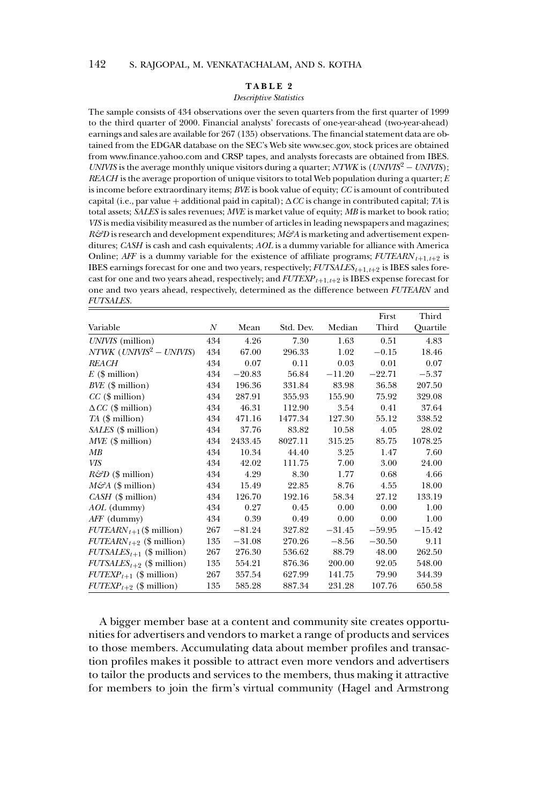#### *Descriptive Statistics*

The sample consists of 434 observations over the seven quarters from the first quarter of 1999 to the third quarter of 2000. Financial analysts' forecasts of one-year-ahead (two-year-ahead) earnings and sales are available for 267 (135) observations. The financial statement data are obtained from the EDGAR database on the SEC's Web site www.sec.gov, stock prices are obtained from www.finance.yahoo.com and CRSP tapes, and analysts forecasts are obtained from IBES. *UNIVIS* is the average monthly unique visitors during a quarter; *NTWK* is (*UNIVIS*<sup>2</sup> − *UNIVIS*); *REACH* is the average proportion of unique visitors to total Web population during a quarter; *E* is income before extraordinary items; *BVE* is book value of equity; *CC* is amount of contributed capital (i.e., par value + additional paid in capital);  $\Delta CC$  is change in contributed capital; *TA* is total assets; *SALES* is sales revenues; *MVE* is market value of equity; *MB* is market to book ratio; *VIS* is media visibility measured as the number of articles in leading newspapers and magazines; *R&D* is research and development expenditures; *M&A* is marketing and advertisement expenditures; *CASH* is cash and cash equivalents; *AOL* is a dummy variable for alliance with America Online; *AFF* is a dummy variable for the existence of affiliate programs;  $FUTEARN_{t+1,t+2}$  is IBES earnings forecast for one and two years, respectively;  $FUTSALES<sub>t+1,t+2</sub>$  is IBES sales forecast for one and two years ahead, respectively; and  $FUTEXP_{t+1,t+2}$  is IBES expense forecast for one and two years ahead, respectively, determined as the difference between *FUTEARN* and *FUTSALES*.

|                                                       |     |          |           |          | First    | Third    |
|-------------------------------------------------------|-----|----------|-----------|----------|----------|----------|
| Variable                                              | N   | Mean     | Std. Dev. | Median   | Third    | Quartile |
| UNIVIS (million)                                      | 434 | 4.26     | 7.30      | 1.63     | 0.51     | 4.83     |
| $NTWK$ ( <i>UNIVIS</i> <sup>2</sup> – <i>UNIVIS</i> ) | 434 | 67.00    | 296.33    | 1.02     | $-0.15$  | 18.46    |
| <i>REACH</i>                                          | 434 | 0.07     | 0.11      | 0.03     | 0.01     | 0.07     |
| $E$ (\$ million)                                      | 434 | $-20.83$ | 56.84     | $-11.20$ | $-22.71$ | $-5.37$  |
| $BVE$ (\$ million)                                    | 434 | 196.36   | 331.84    | 83.98    | 36.58    | 207.50   |
| $CC$ (\$ million)                                     | 434 | 287.91   | 355.93    | 155.90   | 75.92    | 329.08   |
| $\Delta CC$ (\$ million)                              | 434 | 46.31    | 112.90    | 3.54     | 0.41     | 37.64    |
| $TA$ (\$ million)                                     | 434 | 471.16   | 1477.34   | 127.30   | 55.12    | 338.52   |
| SALES (\$ million)                                    | 434 | 37.76    | 83.82     | 10.58    | 4.05     | 28.02    |
| $MVE$ (\$ million)                                    | 434 | 2433.45  | 8027.11   | 315.25   | 85.75    | 1078.25  |
| MВ                                                    | 434 | 10.34    | 44.40     | 3.25     | 1.47     | 7.60     |
| VIS                                                   | 434 | 42.02    | 111.75    | 7.00     | 3.00     | 24.00    |
| $R\mathcal{G}D$ (\$ million)                          | 434 | 4.29     | 8.30      | 1.77     | 0.68     | 4.66     |
| $M\mathcal{A}$ (\$ million)                           | 434 | 15.49    | 22.85     | 8.76     | 4.55     | 18.00    |
| $CASH$ (\$ million)                                   | 434 | 126.70   | 192.16    | 58.34    | 27.12    | 133.19   |
| AOL (dummy)                                           | 434 | 0.27     | 0.45      | 0.00     | 0.00     | 1.00     |
| $A\!F$ (dummy)                                        | 434 | 0.39     | 0.49      | 0.00     | 0.00     | 1.00     |
| $FUTEARN_{t+1}$ (\$ million)                          | 267 | $-81.24$ | 327.82    | $-31.45$ | $-59.95$ | $-15.42$ |
| $FUTEARN_{t+2}$ (\$ million)                          | 135 | $-31.08$ | 270.26    | $-8.56$  | $-30.50$ | 9.11     |
| $FUTSALES_{t+1}$ (\$ million)                         | 267 | 276.30   | 536.62    | 88.79    | 48.00    | 262.50   |
| $FUTSALES_{t+2}$ (\$ million)                         | 135 | 554.21   | 876.36    | 200.00   | 92.05    | 548.00   |
| $FUTEXP_{t+1}$ (\$ million)                           | 267 | 357.54   | 627.99    | 141.75   | 79.90    | 344.39   |
| $FUTEXP_{t+2}$ (\$ million)                           | 135 | 585.28   | 887.34    | 231.28   | 107.76   | 650.58   |

A bigger member base at a content and community site creates opportunities for advertisers and vendors to market a range of products and services to those members. Accumulating data about member profiles and transaction profiles makes it possible to attract even more vendors and advertisers to tailor the products and services to the members, thus making it attractive for members to join the firm's virtual community (Hagel and Armstrong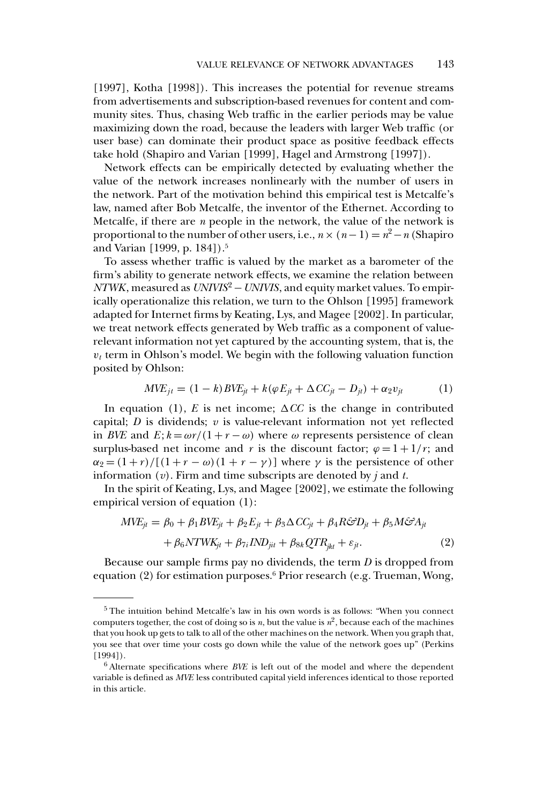[1997], Kotha [1998]). This increases the potential for revenue streams from advertisements and subscription-based revenues for content and community sites. Thus, chasing Web traffic in the earlier periods may be value maximizing down the road, because the leaders with larger Web traffic (or user base) can dominate their product space as positive feedback effects take hold (Shapiro and Varian [1999], Hagel and Armstrong [1997]).

Network effects can be empirically detected by evaluating whether the value of the network increases nonlinearly with the number of users in the network. Part of the motivation behind this empirical test is Metcalfe's law, named after Bob Metcalfe, the inventor of the Ethernet. According to Metcalfe, if there are *n* people in the network, the value of the network is proportional to the number of other users, i.e.,  $n \times (n-1) = n^2 - n$  (Shapiro and Varian [1999, p. 184]).<sup>5</sup>

To assess whether traffic is valued by the market as a barometer of the firm's ability to generate network effects, we examine the relation between *NTWK*, measured as *UNIVIS*<sup>2</sup> − *UNIVIS*, and equity market values. To empirically operationalize this relation, we turn to the Ohlson [1995] framework adapted for Internet firms by Keating, Lys, and Magee [2002]. In particular, we treat network effects generated by Web traffic as a component of valuerelevant information not yet captured by the accounting system, that is, the  $v_t$  term in Ohlson's model. We begin with the following valuation function posited by Ohlson:

$$
MVE_{jt} = (1 - k) BVE_{jt} + k(\varphi E_{jt} + \Delta CC_{jt} - D_{jt}) + \alpha_2 v_{jt}
$$
(1)

In equation (1), *E* is net income;  $\Delta CC$  is the change in contributed capital;  $D$  is dividends;  $v$  is value-relevant information not yet reflected in *BVE* and  $E$ ;  $k = \omega r/(1 + r - \omega)$  where  $\omega$  represents persistence of clean surplus-based net income and *r* is the discount factor;  $\varphi = 1 + 1/r$ ; and  $\alpha_2 = (1+r)/[(1+r-\omega)(1+r-\gamma)]$  where  $\gamma$  is the persistence of other information (*v*). Firm and time subscripts are denoted by *j* and *t*.

In the spirit of Keating, Lys, and Magee [2002], we estimate the following empirical version of equation (1):

$$
MVE_{jt} = \beta_0 + \beta_1 BVE_{jt} + \beta_2 E_{jt} + \beta_3 \Delta CC_{jt} + \beta_4 R\mathcal{S}^2 D_{jt} + \beta_5 M\mathcal{S}^2 A_{jt}
$$
  
+  $\beta_6 NTWK_{jt} + \beta_{7i} IND_{jit} + \beta_{8k} QTR_{jkt} + \varepsilon_{jt}.$  (2)

Because our sample firms pay no dividends, the term *D* is dropped from equation (2) for estimation purposes.6 Prior research (e.g. Trueman, Wong,

<sup>5</sup> The intuition behind Metcalfe's law in his own words is as follows: "When you connect computers together, the cost of doing so is *n*, but the value is  $n^2$ , because each of the machines that you hook up gets to talk to all of the other machines on the network. When you graph that, you see that over time your costs go down while the value of the network goes up" (Perkins  $[1994]$ .

<sup>6</sup> Alternate specifications where *BVE* is left out of the model and where the dependent variable is defined as *MVE* less contributed capital yield inferences identical to those reported in this article.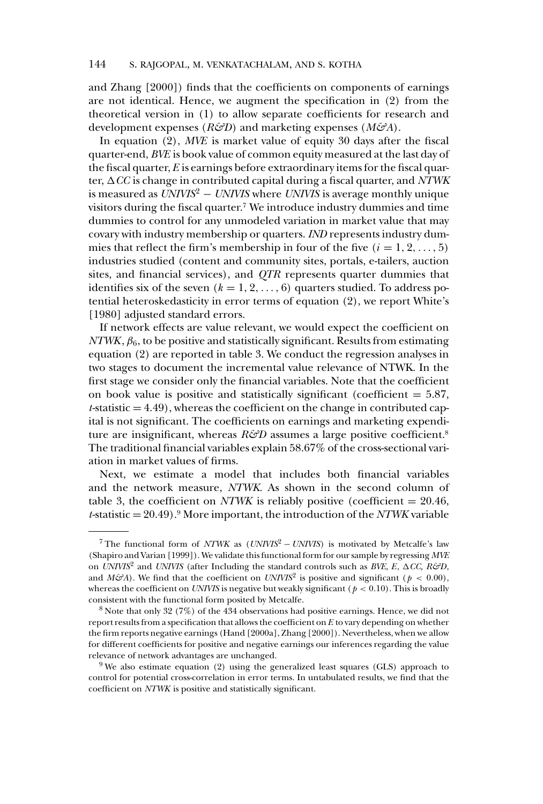and Zhang [2000]) finds that the coefficients on components of earnings are not identical. Hence, we augment the specification in (2) from the theoretical version in (1) to allow separate coefficients for research and development expenses (*R&D*) and marketing expenses (*M&A*).

In equation (2), *MVE* is market value of equity 30 days after the fiscal quarter-end, *BVE* is book value of common equity measured at the last day of the fiscal quarter, *E* is earnings before extraordinary items for the fiscal quarter,  $\Delta CC$  is change in contributed capital during a fiscal quarter, and *NTWK* is measured as *UNIVIS*<sup>2</sup> − *UNIVIS* where *UNIVIS* is average monthly unique visitors during the fiscal quarter.7 We introduce industry dummies and time dummies to control for any unmodeled variation in market value that may covary with industry membership or quarters. *IND* represents industry dummies that reflect the firm's membership in four of the five  $(i = 1, 2, \ldots, 5)$ industries studied (content and community sites, portals, e-tailers, auction sites, and financial services), and *QTR* represents quarter dummies that identifies six of the seven  $(k = 1, 2, \ldots, 6)$  quarters studied. To address potential heteroskedasticity in error terms of equation (2), we report White's [1980] adjusted standard errors.

If network effects are value relevant, we would expect the coefficient on  $NTWK, \beta_6$ , to be positive and statistically significant. Results from estimating equation (2) are reported in table 3. We conduct the regression analyses in two stages to document the incremental value relevance of NTWK. In the first stage we consider only the financial variables. Note that the coefficient on book value is positive and statistically significant (coefficient  $= 5.87$ ,  $t$ -statistic  $=$  4.49), whereas the coefficient on the change in contributed capital is not significant. The coefficients on earnings and marketing expenditure are insignificant, whereas  $R\&\mathcal{D}$  assumes a large positive coefficient.<sup>8</sup> The traditional financial variables explain 58.67% of the cross-sectional variation in market values of firms.

Next, we estimate a model that includes both financial variables and the network measure, *NTWK.* As shown in the second column of table 3, the coefficient on *NTWK* is reliably positive (coefficient  $= 20.46$ , *t*-statistic = 20.49).9 More important, the introduction of the *NTWK* variable

<sup>&</sup>lt;sup>7</sup> The functional form of *NTWK* as  $(UNIVIS<sup>2</sup> – UNIVIS)$  is motivated by Metcalfe's law (Shapiro and Varian [1999]). We validate this functional form for our sample by regressing *MVE* on *UNIVIS*<sup>2</sup> and *UNIVIS* (after Including the standard controls such as *BVE, E*,  $\Delta CC$ , *R*&D, and  $M\ddot{\sigma}A$ ). We find that the coefficient on *UNIVIS*<sup>2</sup> is positive and significant ( $p < 0.00$ ), whereas the coefficient on *UNIVIS* is negative but weakly significant ( $p < 0.10$ ). This is broadly consistent with the functional form posited by Metcalfe.

 $8$  Note that only 32 (7%) of the 434 observations had positive earnings. Hence, we did not report results from a specification that allows the coefficient on *E* to vary depending on whether the firm reports negative earnings (Hand [2000a], Zhang [2000]). Nevertheless, when we allow for different coefficients for positive and negative earnings our inferences regarding the value relevance of network advantages are unchanged.

<sup>9</sup> We also estimate equation (2) using the generalized least squares (GLS) approach to control for potential cross-correlation in error terms. In untabulated results, we find that the coefficient on *NTWK* is positive and statistically significant.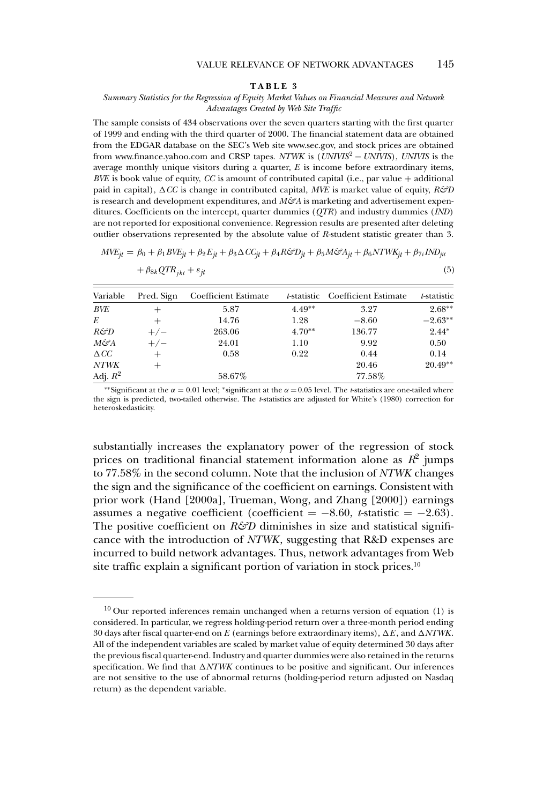#### *Summary Statistics for the Regression of Equity Market Values on Financial Measures and Network Advantages Created by Web Site Traffic*

The sample consists of 434 observations over the seven quarters starting with the first quarter of 1999 and ending with the third quarter of 2000. The financial statement data are obtained from the EDGAR database on the SEC's Web site www.sec.gov, and stock prices are obtained from www.finance.yahoo.com and CRSP tapes. *NTWK* is (*UNIVIS*<sup>2</sup> <sup>−</sup> *UNIVIS*), *UNIVIS* is the average monthly unique visitors during a quarter, *E* is income before extraordinary items, *BVE* is book value of equity, *CC* is amount of contributed capital (i.e., par value + additional paid in capital),  $\Delta CC$  is change in contributed capital, *MVE* is market value of equity,  $R\&D$ is research and development expenditures, and  $M\ddot{\sigma}A$  is marketing and advertisement expenditures. Coefficients on the intercept, quarter dummies (*QTR*) and industry dummies (*IND*) are not reported for expositional convenience. Regression results are presented after deleting outlier observations represented by the absolute value of *R*-student statistic greater than 3.

 $MVE_{jt} = \beta_0 + \beta_1 BVE_{jt} + \beta_2 E_{jt} + \beta_3 \Delta CC_{jt} + \beta_4 R\mathcal{S}D_{jt} + \beta_5 M\mathcal{S}A_{jt} + \beta_6 N TWK_{jt} + \beta_{7i} IND_{jit}$ 

| Variable        | Pred. Sign | <b>Coefficient Estimate</b> | t-statistic | <b>Coefficient Estimate</b> | t-statistic |
|-----------------|------------|-----------------------------|-------------|-----------------------------|-------------|
| BVE             |            | 5.87                        | $4.49**$    | 3.27                        | $2.68**$    |
| E               |            | 14.76                       | 1.28        | $-8.60$                     | $-2.63**$   |
| R&D             | $+/-$      | 263.06                      | $4.70**$    | 136.77                      | $2.44*$     |
| $M\mathcal{C}A$ | $+/-$      | 24.01                       | 1.10        | 9.92                        | 0.50        |
| $\triangle CC$  |            | 0.58                        | 0.22        | 0.44                        | 0.14        |
| <b>NTWK</b>     |            |                             |             | 20.46                       | $20.49**$   |
| Adj. $R^2$      |            | 58.67%                      |             | 77.58%                      |             |

$$
+\beta_{8k}QTR_{ikt} + \varepsilon_{jt} \tag{5}
$$

∗∗Significant at the α = 0.01 level; <sup>∗</sup>significant at the α = 0.05 level. The *t*-statistics are one-tailed where the sign is predicted, two-tailed otherwise. The *t*-statistics are adjusted for White's (1980) correction for heteroskedasticity.

substantially increases the explanatory power of the regression of stock prices on traditional financial statement information alone as  $R^2$  jumps to 77.58% in the second column. Note that the inclusion of *NTWK* changes the sign and the significance of the coefficient on earnings. Consistent with prior work (Hand [2000a], Trueman, Wong, and Zhang [2000]) earnings assumes a negative coefficient (coefficient =  $-8.60$ , *t*-statistic =  $-2.63$ ). The positive coefficient on *R&D* diminishes in size and statistical significance with the introduction of *NTWK*, suggesting that R&D expenses are incurred to build network advantages. Thus, network advantages from Web site traffic explain a significant portion of variation in stock prices.10

 $10$  Our reported inferences remain unchanged when a returns version of equation (1) is considered. In particular, we regress holding-period return over a three-month period ending 30 days after fiscal quarter-end on *E* (earnings before extraordinary items),  $\Delta E$ , and  $\Delta N T W K$ . All of the independent variables are scaled by market value of equity determined 30 days after the previous fiscal quarter-end. Industry and quarter dummies were also retained in the returns specification. We find that  $\triangle N T W K$  continues to be positive and significant. Our inferences are not sensitive to the use of abnormal returns (holding-period return adjusted on Nasdaq return) as the dependent variable.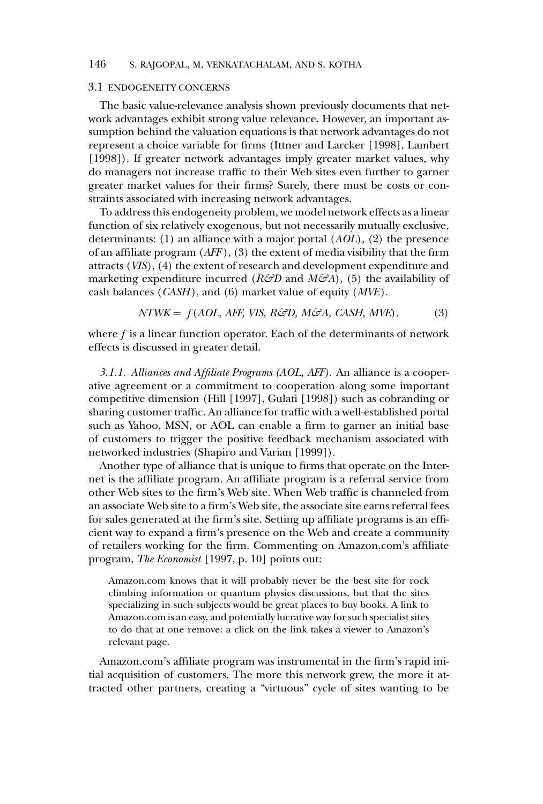## 3.1 ENDOGENEITY CONCERNS

The basic value-relevance analysis shown previously documents that network advantages exhibit strong value relevance. However, an important assumption behind the valuation equations is that network advantages do not represent a choice variable for firms (Ittner and Larcker [1998], Lambert [1998]). If greater network advantages imply greater market values, why do managers not increase traffic to their Web sites even further to garner greater market values for their firms? Surely, there must be costs or constraints associated with increasing network advantages.

To address this endogeneity problem, we model network effects as a linear function of six relatively exogenous, but not necessarily mutually exclusive, determinants: (1) an alliance with a major portal (*AOL*), (2) the presence of an affiliate program (*AFF* ), (3) the extent of media visibility that the firm attracts (*VIS*), (4) the extent of research and development expenditure and marketing expenditure incurred ( $R\&D$  and  $M\&D$ <sup>2</sup>), (5) the availability of cash balances (*CASH*), and (6) market value of equity (*MVE*).

$$
NTWK = f(AOL, AFF, VIS, R&D, M&A, CASH, MVE),\tag{3}
$$

where *f* is a linear function operator. Each of the determinants of network effects is discussed in greater detail.

*3.1.1. Alliances and Affiliate Programs (AOL, AFF).* An alliance is a cooperative agreement or a commitment to cooperation along some important competitive dimension (Hill [1997], Gulati [1998]) such as cobranding or sharing customer traffic. An alliance for traffic with a well-established portal such as Yahoo, MSN, or AOL can enable a firm to garner an initial base of customers to trigger the positive feedback mechanism associated with networked industries (Shapiro and Varian [1999]).

Another type of alliance that is unique to firms that operate on the Internet is the affiliate program. An affiliate program is a referral service from other Web sites to the firm's Web site. When Web traffic is channeled from an associate Web site to a firm's Web site, the associate site earns referral fees for sales generated at the firm's site. Setting up affiliate programs is an efficient way to expand a firm's presence on the Web and create a community of retailers working for the firm. Commenting on Amazon.com's affiliate program, *The Economist* [1997, p. 10] points out:

Amazon.com knows that it will probably never be the best site for rock climbing information or quantum physics discussions, but that the sites specializing in such subjects would be great places to buy books. A link to Amazon.com is an easy, and potentially lucrative way for such specialist sites to do that at one remove: a click on the link takes a viewer to Amazon's relevant page.

Amazon.com's affiliate program was instrumental in the firm's rapid initial acquisition of customers. The more this network grew, the more it attracted other partners, creating a "virtuous" cycle of sites wanting to be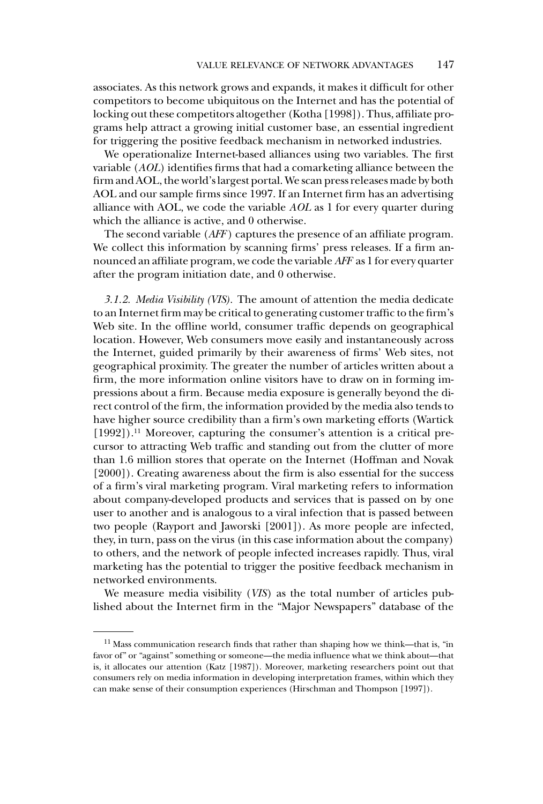associates. As this network grows and expands, it makes it difficult for other competitors to become ubiquitous on the Internet and has the potential of locking out these competitors altogether (Kotha [1998]). Thus, affiliate programs help attract a growing initial customer base, an essential ingredient for triggering the positive feedback mechanism in networked industries.

We operationalize Internet-based alliances using two variables. The first variable (*AOL*) identifies firms that had a comarketing alliance between the firm and AOL, the world's largest portal. We scan press releases made by both AOL and our sample firms since 1997. If an Internet firm has an advertising alliance with AOL, we code the variable *AOL* as 1 for every quarter during which the alliance is active, and 0 otherwise.

The second variable (*AFF* ) captures the presence of an affiliate program. We collect this information by scanning firms' press releases. If a firm announced an affiliate program, we code the variable *AFF* as 1 for every quarter after the program initiation date, and 0 otherwise.

*3.1.2. Media Visibility (VIS).* The amount of attention the media dedicate to an Internet firm may be critical to generating customer traffic to the firm's Web site. In the offline world, consumer traffic depends on geographical location. However, Web consumers move easily and instantaneously across the Internet, guided primarily by their awareness of firms' Web sites, not geographical proximity. The greater the number of articles written about a firm, the more information online visitors have to draw on in forming impressions about a firm. Because media exposure is generally beyond the direct control of the firm, the information provided by the media also tends to have higher source credibility than a firm's own marketing efforts (Wartick [1992]).<sup>11</sup> Moreover, capturing the consumer's attention is a critical precursor to attracting Web traffic and standing out from the clutter of more than 1.6 million stores that operate on the Internet (Hoffman and Novak [2000]). Creating awareness about the firm is also essential for the success of a firm's viral marketing program. Viral marketing refers to information about company-developed products and services that is passed on by one user to another and is analogous to a viral infection that is passed between two people (Rayport and Jaworski [2001]). As more people are infected, they, in turn, pass on the virus (in this case information about the company) to others, and the network of people infected increases rapidly. Thus, viral marketing has the potential to trigger the positive feedback mechanism in networked environments.

We measure media visibility (*VIS*) as the total number of articles published about the Internet firm in the "Major Newspapers" database of the

<sup>11</sup> Mass communication research finds that rather than shaping how we think—that is, "in favor of" or "against" something or someone—the media influence what we think about—that is, it allocates our attention (Katz [1987]). Moreover, marketing researchers point out that consumers rely on media information in developing interpretation frames, within which they can make sense of their consumption experiences (Hirschman and Thompson [1997]).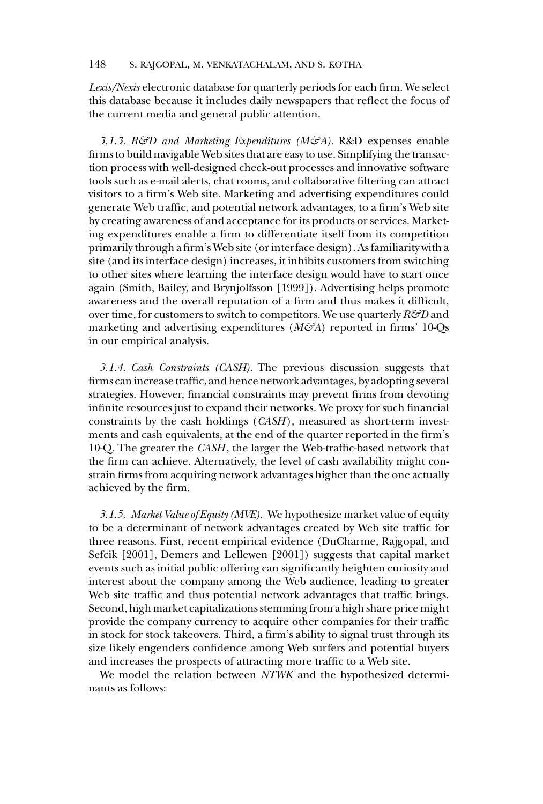*Lexis/Nexis* electronic database for quarterly periods for each firm. We select this database because it includes daily newspapers that reflect the focus of the current media and general public attention.

*3.1.3. R&D and Marketing Expenditures (M&A).* R&D expenses enable firms to build navigable Web sites that are easy to use. Simplifying the transaction process with well-designed check-out processes and innovative software tools such as e-mail alerts, chat rooms, and collaborative filtering can attract visitors to a firm's Web site. Marketing and advertising expenditures could generate Web traffic, and potential network advantages, to a firm's Web site by creating awareness of and acceptance for its products or services. Marketing expenditures enable a firm to differentiate itself from its competition primarily through a firm's Web site (or interface design). As familiarity with a site (and its interface design) increases, it inhibits customers from switching to other sites where learning the interface design would have to start once again (Smith, Bailey, and Brynjolfsson [1999]). Advertising helps promote awareness and the overall reputation of a firm and thus makes it difficult, over time, for customers to switch to competitors. We use quarterly *R&D* and marketing and advertising expenditures (*M&A*) reported in firms' 10-Qs in our empirical analysis.

*3.1.4. Cash Constraints (CASH).* The previous discussion suggests that firms can increase traffic, and hence network advantages, by adopting several strategies. However, financial constraints may prevent firms from devoting infinite resources just to expand their networks. We proxy for such financial constraints by the cash holdings (*CASH*), measured as short-term investments and cash equivalents, at the end of the quarter reported in the firm's 10-Q. The greater the *CASH*, the larger the Web-traffic-based network that the firm can achieve. Alternatively, the level of cash availability might constrain firms from acquiring network advantages higher than the one actually achieved by the firm.

*3.1.5. Market Value of Equity (MVE).* We hypothesize market value of equity to be a determinant of network advantages created by Web site traffic for three reasons. First, recent empirical evidence (DuCharme, Rajgopal, and Sefcik [2001], Demers and Lellewen [2001]) suggests that capital market events such as initial public offering can significantly heighten curiosity and interest about the company among the Web audience, leading to greater Web site traffic and thus potential network advantages that traffic brings. Second, high market capitalizations stemming from a high share price might provide the company currency to acquire other companies for their traffic in stock for stock takeovers. Third, a firm's ability to signal trust through its size likely engenders confidence among Web surfers and potential buyers and increases the prospects of attracting more traffic to a Web site.

We model the relation between *NTWK* and the hypothesized determinants as follows: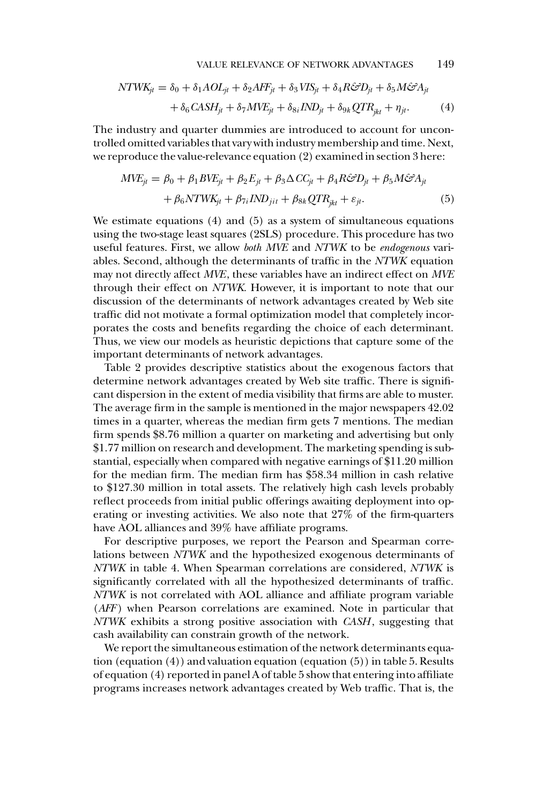$$
NTWK_{jt} = \delta_0 + \delta_1 AOL_{jt} + \delta_2 AFF_{jt} + \delta_3 VIS_{jt} + \delta_4 R\mathcal{SD}_{jt} + \delta_5 M\mathcal{SA}_{jt} + \delta_6 CASH_{jt} + \delta_7 MVE_{jt} + \delta_{8i} IND_{jt} + \delta_{9k} QTR_{jkt} + \eta_{jt}.
$$
 (4)

The industry and quarter dummies are introduced to account for uncontrolled omitted variables that vary with industry membership and time. Next, we reproduce the value-relevance equation (2) examined in section 3 here:

$$
MVE_{jt} = \beta_0 + \beta_1 BVE_{jt} + \beta_2 E_{jt} + \beta_3 \Delta CC_{jt} + \beta_4 R\mathcal{S}^2 D_{jt} + \beta_5 M\mathcal{S}^2 A_{jt}
$$
  
+  $\beta_6 NTWK_{jt} + \beta_{7i} IND_{jit} + \beta_{8k} QTR_{jkt} + \varepsilon_{jt}.$  (5)

We estimate equations (4) and (5) as a system of simultaneous equations using the two-stage least squares (2SLS) procedure. This procedure has two useful features. First, we allow *both MVE* and *NTWK* to be *endogenous* variables. Second, although the determinants of traffic in the *NTWK* equation may not directly affect *MVE*, these variables have an indirect effect on *MVE* through their effect on *NTWK.* However, it is important to note that our discussion of the determinants of network advantages created by Web site traffic did not motivate a formal optimization model that completely incorporates the costs and benefits regarding the choice of each determinant. Thus, we view our models as heuristic depictions that capture some of the important determinants of network advantages.

Table 2 provides descriptive statistics about the exogenous factors that determine network advantages created by Web site traffic. There is significant dispersion in the extent of media visibility that firms are able to muster. The average firm in the sample is mentioned in the major newspapers 42.02 times in a quarter, whereas the median firm gets 7 mentions. The median firm spends \$8.76 million a quarter on marketing and advertising but only \$1.77 million on research and development. The marketing spending is substantial, especially when compared with negative earnings of \$11.20 million for the median firm. The median firm has \$58.34 million in cash relative to \$127.30 million in total assets. The relatively high cash levels probably reflect proceeds from initial public offerings awaiting deployment into operating or investing activities. We also note that 27% of the firm-quarters have AOL alliances and 39% have affiliate programs.

For descriptive purposes, we report the Pearson and Spearman correlations between *NTWK* and the hypothesized exogenous determinants of *NTWK* in table 4. When Spearman correlations are considered, *NTWK* is significantly correlated with all the hypothesized determinants of traffic. *NTWK* is not correlated with AOL alliance and affiliate program variable (*AFF* ) when Pearson correlations are examined. Note in particular that *NTWK* exhibits a strong positive association with *CASH*, suggesting that cash availability can constrain growth of the network.

We report the simultaneous estimation of the network determinants equation (equation (4)) and valuation equation (equation (5)) in table 5. Results of equation (4) reported in panel A of table 5 show that entering into affiliate programs increases network advantages created by Web traffic. That is, the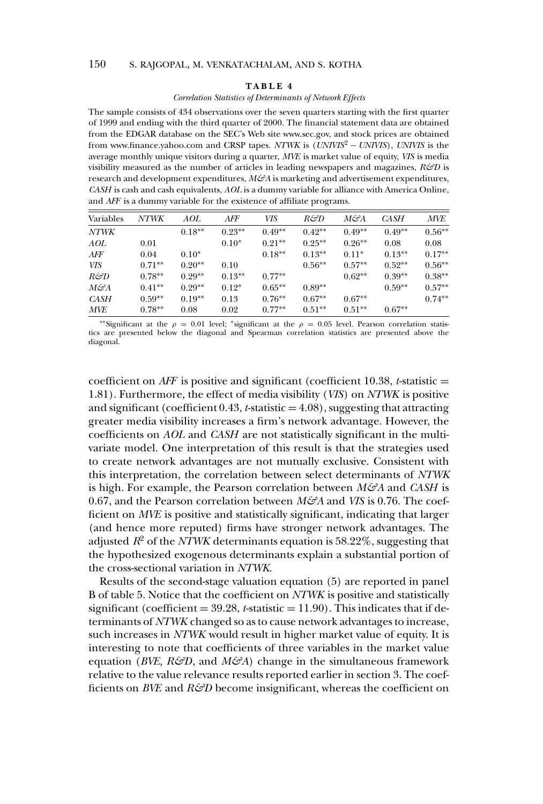#### *Correlation Statistics of Determinants of Network Effects*

The sample consists of 434 observations over the seven quarters starting with the first quarter of 1999 and ending with the third quarter of 2000. The financial statement data are obtained from the EDGAR database on the SEC's Web site www.sec.gov, and stock prices are obtained from www.finance.yahoo.com and CRSP tapes. *NTWK* is (*UNIVIS*<sup>2</sup> <sup>−</sup> *UNIVIS*), *UNIVIS* is the average monthly unique visitors during a quarter, *MVE* is market value of equity, *VIS* is media visibility measured as the number of articles in leading newspapers and magazines, *R&D* is research and development expenditures,  $M\mathcal{C}^2A$  is marketing and advertisement expenditures, *CASH* is cash and cash equivalents, *AOL* is a dummy variable for alliance with America Online, and *AFF* is a dummy variable for the existence of affiliate programs.

| Variables   | <b>NTWK</b> | AOL      | AFF      | VIS      | $R\epsilon\gamma D$ | M&A      | CASH     | MVE.     |
|-------------|-------------|----------|----------|----------|---------------------|----------|----------|----------|
| <b>NTWK</b> |             | $0.18**$ | $0.23**$ | $0.49**$ | $0.42**$            | $0.49**$ | $0.49**$ | $0.56**$ |
| AOL         | 0.01        |          | $0.10*$  | $0.21**$ | $0.25**$            | $0.26**$ | 0.08     | 0.08     |
| AFF         | 0.04        | $0.10*$  |          | $0.18**$ | $0.13**$            | $0.11*$  | $0.13**$ | $0.17**$ |
| VIS         | $0.71**$    | $0.20**$ | 0.10     |          | $0.56**$            | $0.57**$ | $0.52**$ | $0.56**$ |
| R&D         | $0.78**$    | $0.99**$ | $0.13**$ | $0.77**$ |                     | $0.62**$ | $0.39**$ | $0.38**$ |
| MEA         | $0.41**$    | $0.29**$ | $0.12*$  | $0.65**$ | $0.89**$            |          | $0.59**$ | $0.57**$ |
| <b>CASH</b> | $0.59**$    | $0.19**$ | 0.13     | $0.76**$ | $0.67**$            | $0.67**$ |          | $0.74**$ |
| MVE.        | $0.78**$    | 0.08     | 0.02     | $0.77**$ | $0.51**$            | $0.51**$ | $0.67**$ |          |

<sup>\*\*</sup>Significant at the  $ρ = 0.01$  level; <sup>\*</sup>significant at the  $ρ = 0.05$  level. Pearson correlation statistics are presented below the diagonal and Spearman correlation statistics are presented above the diagonal.

coefficient on *AFF* is positive and significant (coefficient 10.38, *t*-statistic  $=$ 1.81). Furthermore, the effect of media visibility (*VIS*) on *NTWK* is positive and significant (coefficient  $0.43$ , *t*-statistic  $= 4.08$ ), suggesting that attracting greater media visibility increases a firm's network advantage. However, the coefficients on *AOL* and *CASH* are not statistically significant in the multivariate model. One interpretation of this result is that the strategies used to create network advantages are not mutually exclusive. Consistent with this interpretation, the correlation between select determinants of *NTWK* is high. For example, the Pearson correlation between  $M\ddot{\sigma}A$  and *CASH* is 0.67, and the Pearson correlation between  $M\ddot{\sigma}A$  and VIS is 0.76. The coefficient on *MVE* is positive and statistically significant, indicating that larger (and hence more reputed) firms have stronger network advantages. The adjusted  $R^2$  of the *NTWK* determinants equation is 58.22%, suggesting that the hypothesized exogenous determinants explain a substantial portion of the cross-sectional variation in *NTWK.*

Results of the second-stage valuation equation (5) are reported in panel B of table 5. Notice that the coefficient on *NTWK* is positive and statistically significant (coefficient  $= 39.28$ , *t*-statistic  $= 11.90$ ). This indicates that if determinants of *NTWK* changed so as to cause network advantages to increase, such increases in *NTWK* would result in higher market value of equity. It is interesting to note that coefficients of three variables in the market value equation (*BVE, R&D*, and *M&A*) change in the simultaneous framework relative to the value relevance results reported earlier in section 3. The coefficients on *BVE* and *R&D* become insignificant, whereas the coefficient on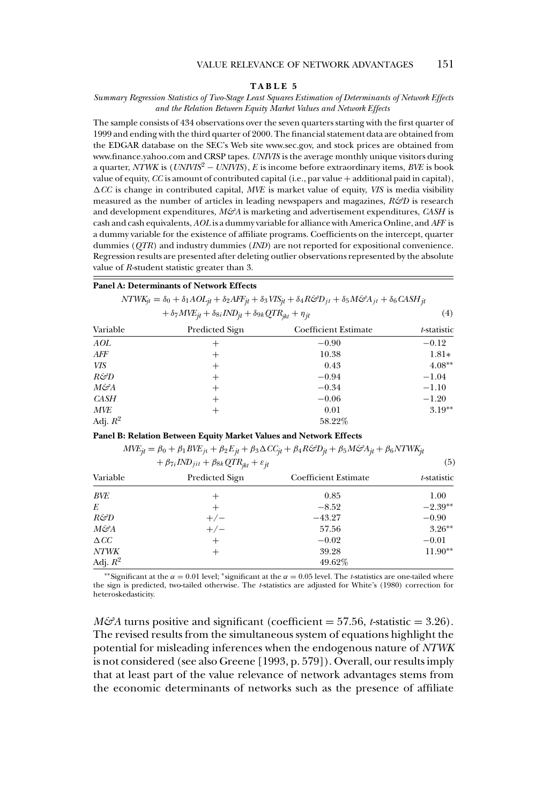### *Summary Regression Statistics of Two-Stage Least Squares Estimation of Determinants of Network Effects and the Relation Between Equity Market Values and Network Effects*

The sample consists of 434 observations over the seven quarters starting with the first quarter of 1999 and ending with the third quarter of 2000. The financial statement data are obtained from the EDGAR database on the SEC's Web site www.sec.gov, and stock prices are obtained from www.finance.yahoo.com and CRSP tapes. *UNIVIS* is the average monthly unique visitors during a quarter, *NTWK* is (*UNIVIS*<sup>2</sup> <sup>−</sup> *UNIVIS*), *<sup>E</sup>* is income before extraordinary items, *BVE* is book value of equity, *CC* is amount of contributed capital (i.e., par value + additional paid in capital), *CC* is change in contributed capital, *MVE* is market value of equity, *VIS* is media visibility measured as the number of articles in leading newspapers and magazines, *R&D* is research and development expenditures, *M&A* is marketing and advertisement expenditures, *CASH* is cash and cash equivalents, *AOL* is a dummy variable for alliance with America Online, and *AFF* is a dummy variable for the existence of affiliate programs. Coefficients on the intercept, quarter dummies (*QTR*) and industry dummies (*IND*) are not reported for expositional convenience. Regression results are presented after deleting outlier observations represented by the absolute value of *R*-student statistic greater than 3.

#### **Panel A: Determinants of Network Effects**

| $NTWK_{jt} = \delta_0 + \delta_1 AOL_{jt} + \delta_2 AFF_{jt} + \delta_3 VIS_{jt} + \delta_4 R\mathcal{ED}_{jt} + \delta_5 M\mathcal{B}A_{jt} + \delta_6 CASH_{jt}$ |     |
|---------------------------------------------------------------------------------------------------------------------------------------------------------------------|-----|
| + $\delta_7 MVE_{jt} + \delta_{8i} IND_{jt} + \delta_{9k} QTR_{jkt} + \eta_{jt}$                                                                                    | (4) |

| Variable   | Predicted Sign | <b>Coefficient Estimate</b> | t-statistic |
|------------|----------------|-----------------------------|-------------|
| AOL        | $^+$           | $-0.90$                     | $-0.12$     |
| AFF        | $^+$           | 10.38                       | $1.81*$     |
| VIS        | $^{+}$         | 0.43                        | $4.08**$    |
| $R$ &D     |                | $-0.94$                     | $-1.04$     |
| M&A        | $^+$           | $-0.34$                     | $-1.10$     |
| CASH       | $^+$           | $-0.06$                     | $-1.20$     |
| <b>MVE</b> | $^+$           | 0.01                        | $3.19**$    |
| Adj. $R^2$ |                | 58.22%                      |             |

#### **Panel B: Relation Between Equity Market Values and Network Effects**

| $MVE_{jt} = \beta_0 + \beta_1 BVE_{jt} + \beta_2 E_{jt} + \beta_3 \Delta CC_{jt} + \beta_4 R\mathcal{S}D_{jt} + \beta_5 M\mathcal{S}A_{jt} + \beta_6 NTWK_{jt}$ |     |
|-----------------------------------------------------------------------------------------------------------------------------------------------------------------|-----|
| $+ \beta_{7i} IND_{ii} + \beta_{8k} OTR_{ii} + \varepsilon_{ii}$                                                                                                | (5) |

|                 | $\tau$ $\mu_1$ $\mu$ $\nu_2$ $\mu$ $\tau$ $\mu$ $\mu$ $\mu$ $\tau$ $\tau$ $\mu$ |                             | $\cup$      |
|-----------------|---------------------------------------------------------------------------------|-----------------------------|-------------|
| Variable        | Predicted Sign                                                                  | <b>Coefficient Estimate</b> | t-statistic |
| BVE             | +                                                                               | 0.85                        | 1.00        |
| E               | $^+$                                                                            | $-8.52$                     | $-2.39**$   |
| $R$ &D          | $+/-$                                                                           | $-43.27$                    | $-0.90$     |
| $M\mathcal{C}A$ | $+/-$                                                                           | 57.56                       | $3.26**$    |
| $\triangle CC$  | $^{+}$                                                                          | $-0.02$                     | $-0.01$     |
| <b>NTWK</b>     |                                                                                 | 39.28                       | $11.90**$   |
| Adj. $R^2$      |                                                                                 | 49.62%                      |             |

∗∗Significant at the α = 0.01 level; <sup>∗</sup>significant at the α = 0.05 level. The *t*-statistics are one-tailed where the sign is predicted, two-tailed otherwise. The *t*-statistics are adjusted for White's (1980) correction for heteroskedasticity.

 $M\ddot{\sigma}A$  turns positive and significant (coefficient = 57.56, *t*-statistic = 3.26). The revised results from the simultaneous system of equations highlight the potential for misleading inferences when the endogenous nature of *NTWK* is not considered (see also Greene [1993, p. 579]). Overall, our results imply that at least part of the value relevance of network advantages stems from the economic determinants of networks such as the presence of affiliate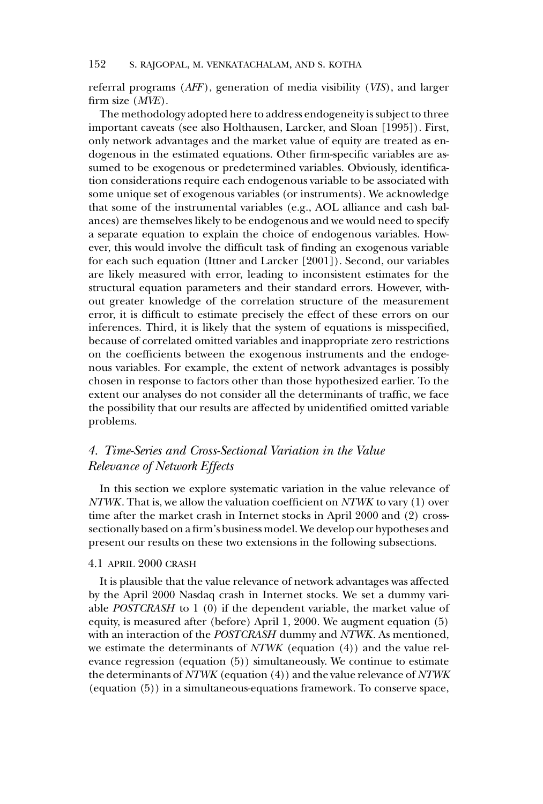referral programs (*AFF* ), generation of media visibility (*VIS*), and larger firm size (*MVE*).

The methodology adopted here to address endogeneity is subject to three important caveats (see also Holthausen, Larcker, and Sloan [1995]). First, only network advantages and the market value of equity are treated as endogenous in the estimated equations. Other firm-specific variables are assumed to be exogenous or predetermined variables. Obviously, identification considerations require each endogenous variable to be associated with some unique set of exogenous variables (or instruments). We acknowledge that some of the instrumental variables (e.g., AOL alliance and cash balances) are themselves likely to be endogenous and we would need to specify a separate equation to explain the choice of endogenous variables. However, this would involve the difficult task of finding an exogenous variable for each such equation (Ittner and Larcker [2001]). Second, our variables are likely measured with error, leading to inconsistent estimates for the structural equation parameters and their standard errors. However, without greater knowledge of the correlation structure of the measurement error, it is difficult to estimate precisely the effect of these errors on our inferences. Third, it is likely that the system of equations is misspecified, because of correlated omitted variables and inappropriate zero restrictions on the coefficients between the exogenous instruments and the endogenous variables. For example, the extent of network advantages is possibly chosen in response to factors other than those hypothesized earlier. To the extent our analyses do not consider all the determinants of traffic, we face the possibility that our results are affected by unidentified omitted variable problems.

# *4. Time-Series and Cross-Sectional Variation in the Value Relevance of Network Effects*

In this section we explore systematic variation in the value relevance of *NTWK*. That is, we allow the valuation coefficient on *NTWK* to vary (1) over time after the market crash in Internet stocks in April 2000 and (2) crosssectionally based on a firm's business model. We develop our hypotheses and present our results on these two extensions in the following subsections.

## 4.1 APRIL 2000 CRASH

It is plausible that the value relevance of network advantages was affected by the April 2000 Nasdaq crash in Internet stocks. We set a dummy variable *POSTCRASH* to 1 (0) if the dependent variable, the market value of equity, is measured after (before) April 1, 2000. We augment equation (5) with an interaction of the *POSTCRASH* dummy and *NTWK*. As mentioned, we estimate the determinants of *NTWK* (equation (4)) and the value relevance regression (equation (5)) simultaneously. We continue to estimate the determinants of *NTWK* (equation (4)) and the value relevance of *NTWK* (equation (5)) in a simultaneous-equations framework. To conserve space,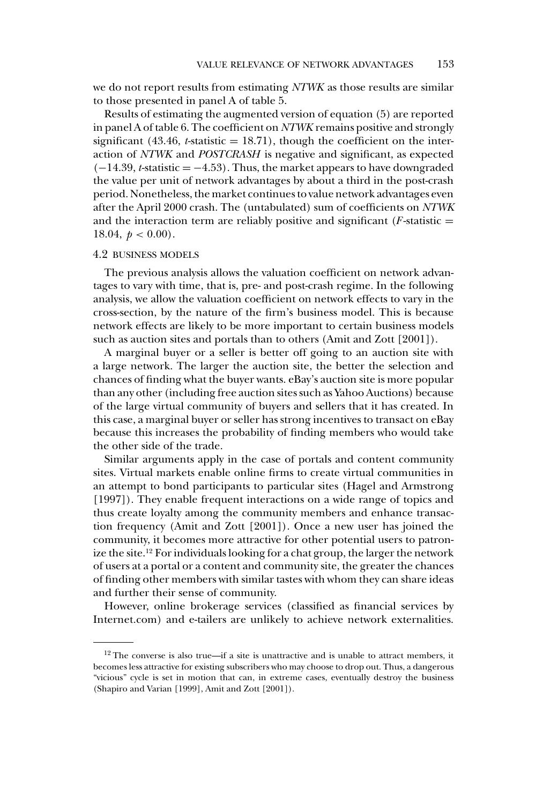we do not report results from estimating *NTWK* as those results are similar to those presented in panel A of table 5.

Results of estimating the augmented version of equation (5) are reported in panel A of table 6. The coefficient on *NTWK* remains positive and strongly significant (43.46, *t*-statistic  $= 18.71$ ), though the coefficient on the interaction of *NTWK* and *POSTCRASH* is negative and significant, as expected (−14.39, *t*-statistic = −4.53). Thus, the market appears to have downgraded the value per unit of network advantages by about a third in the post-crash period. Nonetheless, the market continues to value network advantages even after the April 2000 crash. The (untabulated) sum of coefficients on *NTWK* and the interaction term are reliably positive and significant ( $F$ -statistic  $=$ 18.04,  $p < 0.00$ ).

#### 4.2 BUSINESS MODELS

The previous analysis allows the valuation coefficient on network advantages to vary with time, that is, pre- and post-crash regime. In the following analysis, we allow the valuation coefficient on network effects to vary in the cross-section, by the nature of the firm's business model. This is because network effects are likely to be more important to certain business models such as auction sites and portals than to others (Amit and Zott [2001]).

A marginal buyer or a seller is better off going to an auction site with a large network. The larger the auction site, the better the selection and chances of finding what the buyer wants. eBay's auction site is more popular than any other (including free auction sites such as Yahoo Auctions) because of the large virtual community of buyers and sellers that it has created. In this case, a marginal buyer or seller has strong incentives to transact on eBay because this increases the probability of finding members who would take the other side of the trade.

Similar arguments apply in the case of portals and content community sites. Virtual markets enable online firms to create virtual communities in an attempt to bond participants to particular sites (Hagel and Armstrong [1997]). They enable frequent interactions on a wide range of topics and thus create loyalty among the community members and enhance transaction frequency (Amit and Zott [2001]). Once a new user has joined the community, it becomes more attractive for other potential users to patronize the site.<sup>12</sup> For individuals looking for a chat group, the larger the network of users at a portal or a content and community site, the greater the chances of finding other members with similar tastes with whom they can share ideas and further their sense of community.

However, online brokerage services (classified as financial services by Internet.com) and e-tailers are unlikely to achieve network externalities.

 $12$  The converse is also true—if a site is unattractive and is unable to attract members, it becomes less attractive for existing subscribers who may choose to drop out. Thus, a dangerous "vicious" cycle is set in motion that can, in extreme cases, eventually destroy the business (Shapiro and Varian [1999], Amit and Zott [2001]).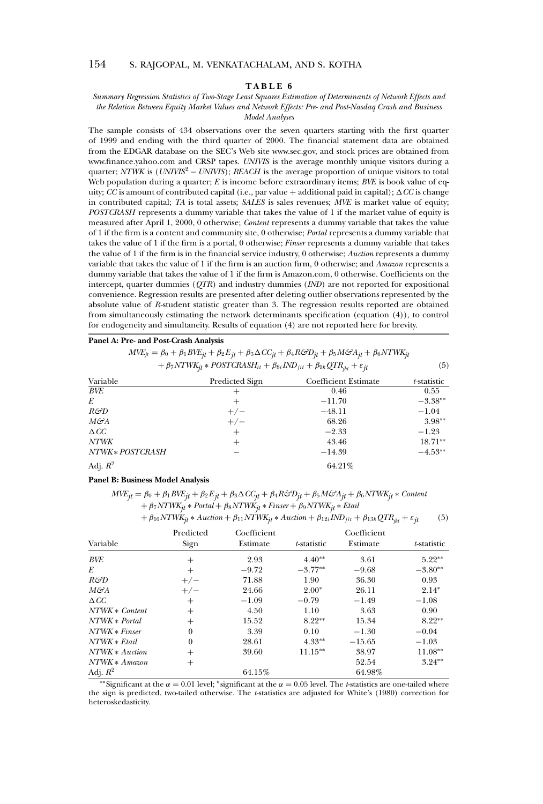#### *Summary Regression Statistics of Two-Stage Least Squares Estimation of Determinants of Network Effects and the Relation Between Equity Market Values and Network Effects: Pre- and Post-Nasdaq Crash and Business Model Analyses*

The sample consists of 434 observations over the seven quarters starting with the first quarter of 1999 and ending with the third quarter of 2000. The financial statement data are obtained from the EDGAR database on the SEC's Web site www.sec.gov, and stock prices are obtained from www.finance.yahoo.com and CRSP tapes. *UNIVIS* is the average monthly unique visitors during a quarter; *NTWK* is (*UNIVIS*<sup>2</sup> − *UNIVIS*); *REACH* is the average proportion of unique visitors to total Web population during a quarter; *E* is income before extraordinary items; *BVE* is book value of equity; *CC* is amount of contributed capital (i.e., par value + additional paid in capital); *CC* is change in contributed capital; *TA* is total assets; *SALES* is sales revenues; *MVE* is market value of equity; *POSTCRASH* represents a dummy variable that takes the value of 1 if the market value of equity is measured after April 1, 2000, 0 otherwise; *Content* represents a dummy variable that takes the value of 1 if the firm is a content and community site, 0 otherwise; *Portal* represents a dummy variable that takes the value of 1 if the firm is a portal, 0 otherwise; *Finser* represents a dummy variable that takes the value of 1 if the firm is in the financial service industry, 0 otherwise; *Auction* represents a dummy variable that takes the value of 1 if the firm is an auction firm, 0 otherwise; and *Amazon* represents a dummy variable that takes the value of 1 if the firm is Amazon.com, 0 otherwise. Coefficients on the intercept, quarter dummies (*QTR*) and industry dummies (*IND*) are not reported for expositional convenience. Regression results are presented after deleting outlier observations represented by the absolute value of *R*-student statistic greater than 3. The regression results reported are obtained from simultaneously estimating the network determinants specification (equation (4)), to control for endogeneity and simultaneity. Results of equation (4) are not reported here for brevity.

#### **Panel A: Pre- and Post-Crash Analysis**

 $MVE_{jt} = \beta_0 + \beta_1 BVE_{jt} + \beta_2 E_{jt} + \beta_3 \Delta CC_{jt} + \beta_4 R\mathcal{S}D_{jt} + \beta_5 M\mathcal{S}A_{jt} + \beta_6 NTWK_{jt}$  $+ \beta_7 N T W K_{it} * POSTCRASH_{it} + \beta_{8i} IND_{iit} + \beta_{9k} OTR_{it} + \varepsilon_{it}$  (5)

| $\cdots$       |                | $\cdots$ $\cdots$ $\cdots$ $\cdots$ $\cdots$ $\cdots$ $\cdots$ $\cdots$ $\cdots$ $\cdots$ $\cdots$ $\cdots$ $\cdots$ |             |  |
|----------------|----------------|----------------------------------------------------------------------------------------------------------------------|-------------|--|
| Variable       | Predicted Sign | <b>Coefficient Estimate</b>                                                                                          | t-statistic |  |
| BVE            |                | 0.46                                                                                                                 | 0.55        |  |
| E              | $^+$           | $-11.70$                                                                                                             | $-3.38**$   |  |
| $R$ &D         | $+/-$          | $-48.11$                                                                                                             | $-1.04$     |  |
| M&A            | $+/-$          | 68.26                                                                                                                | $3.98**$    |  |
| $\Delta CC$    | $^+$           | $-2.33$                                                                                                              | $-1.23$     |  |
| NTWK           | $^{+}$         | 43.46                                                                                                                | $18.71**$   |  |
| NTWK*POSTCRASH |                | $-14.39$                                                                                                             | $-4.53**$   |  |
| Adj. $R^2$     |                | 64.21%                                                                                                               |             |  |

#### **Panel B: Business Model Analysis**

 $MVE_{jt} = \beta_0 + \beta_1 BVE_{jt} + \beta_2 E_{jt} + \beta_3 \Delta CC_{jt} + \beta_4 R\mathcal{S}D_{jt} + \beta_5 M\mathcal{S}A_{jt} + \beta_6 NTWK_{jt} * Content$ + β7*NTWKjt* ∗ *Portal* + β8*NTWKjt* ∗ *Finser* + β9*NTWKjt* ∗ *Etail*

 $+ \beta_{10}NTWK_{jt} * \text{Auction} + \beta_{11}NTWK_{jt} * \text{Auction} + \beta_{12i}IND_{jit} + \beta_{13k}QTR_{ikt} + \varepsilon_{jt}$  (5)

| Variable       | Predicted<br>Sign | Coefficient<br>Estimate | t-statistic | Coefficient<br>Estimate | <i>t</i> -statistic |
|----------------|-------------------|-------------------------|-------------|-------------------------|---------------------|
| BVE            | $\pm$             | 2.93                    | $4.40**$    | 3.61                    | $5.22**$            |
| E              | $^{+}$            | $-9.72$                 | $-3.77**$   | $-9.68$                 | $-3.80**$           |
| R&D            | $+/-$             | 71.88                   | 1.90        | 36.30                   | 0.93                |
| M&A            | $+/-$             | 24.66                   | $2.00*$     | 26.11                   | $2.14*$             |
| $\triangle CC$ | $^{+}$            | $-1.09$                 | $-0.79$     | $-1.49$                 | $-1.08$             |
| NTWK * Content | $^{+}$            | 4.50                    | 1.10        | 3.63                    | 0.90                |
| NTWK * Portal  | $^{+}$            | 15.52                   | $8.22**$    | 15.34                   | $8.22**$            |
| $NTWK*Finser$  | $\Omega$          | 3.39                    | 0.10        | $-1.30$                 | $-0.04$             |
| $NTWK * Etail$ | $\theta$          | 28.61                   | $4.33***$   | $-15.65$                | $-1.03$             |
| NTWK * Auction | $^{+}$            | 39.60                   | $11.15**$   | 38.97                   | $11.08**$           |
| $NTWK*Amaxon$  | $^{+}$            |                         |             | 52.54                   | $3.24**$            |
| Adj. $R^2$     |                   | 64.15%                  |             | 64.98%                  |                     |

∗∗Significant at the α = 0.01 level; <sup>∗</sup>significant at the α = 0.05 level. The *t*-statistics are one-tailed where the sign is predicted, two-tailed otherwise. The *t*-statistics are adjusted for White's (1980) correction for heteroskedasticity.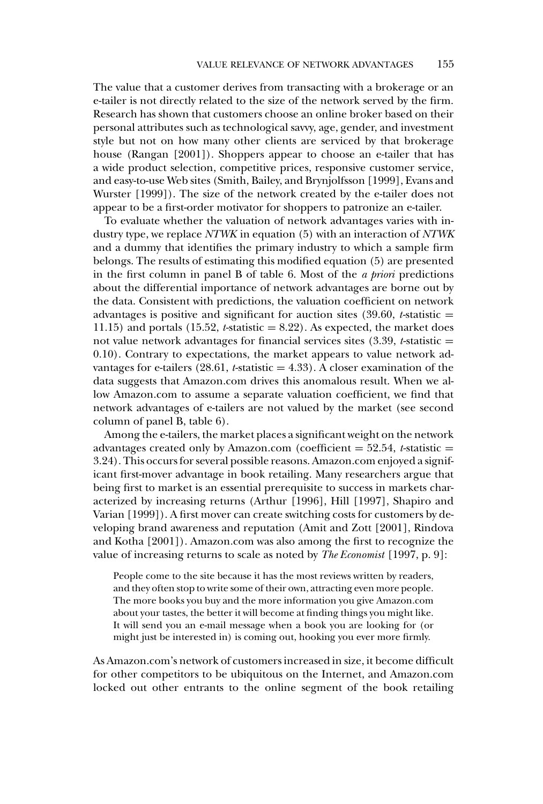The value that a customer derives from transacting with a brokerage or an e-tailer is not directly related to the size of the network served by the firm. Research has shown that customers choose an online broker based on their personal attributes such as technological savvy, age, gender, and investment style but not on how many other clients are serviced by that brokerage house (Rangan [2001]). Shoppers appear to choose an e-tailer that has a wide product selection, competitive prices, responsive customer service, and easy-to-use Web sites (Smith, Bailey, and Brynjolfsson [1999], Evans and Wurster [1999]). The size of the network created by the e-tailer does not appear to be a first-order motivator for shoppers to patronize an e-tailer.

To evaluate whether the valuation of network advantages varies with industry type, we replace *NTWK* in equation (5) with an interaction of *NTWK* and a dummy that identifies the primary industry to which a sample firm belongs. The results of estimating this modified equation (5) are presented in the first column in panel B of table 6. Most of the *a priori* predictions about the differential importance of network advantages are borne out by the data. Consistent with predictions, the valuation coefficient on network advantages is positive and significant for auction sites (39.60, *t*-statistic = 11.15) and portals  $(15.52, t-statistic = 8.22)$ . As expected, the market does not value network advantages for financial services sites  $(3.39, t\text{-statistic} =$ 0.10). Contrary to expectations, the market appears to value network advantages for e-tailers  $(28.61, t\text{-statistic} = 4.33)$ . A closer examination of the data suggests that Amazon.com drives this anomalous result. When we allow Amazon.com to assume a separate valuation coefficient, we find that network advantages of e-tailers are not valued by the market (see second column of panel B, table 6).

Among the e-tailers, the market places a significant weight on the network advantages created only by Amazon.com (coefficient  $= 52.54$ , *t*-statistic  $=$ 3.24). This occurs for several possible reasons. Amazon.com enjoyed a significant first-mover advantage in book retailing. Many researchers argue that being first to market is an essential prerequisite to success in markets characterized by increasing returns (Arthur [1996], Hill [1997], Shapiro and Varian [1999]). A first mover can create switching costs for customers by developing brand awareness and reputation (Amit and Zott [2001], Rindova and Kotha [2001]). Amazon.com was also among the first to recognize the value of increasing returns to scale as noted by *The Economist* [1997, p. 9]:

People come to the site because it has the most reviews written by readers, and they often stop to write some of their own, attracting even more people. The more books you buy and the more information you give Amazon.com about your tastes, the better it will become at finding things you might like. It will send you an e-mail message when a book you are looking for (or might just be interested in) is coming out, hooking you ever more firmly.

As Amazon.com's network of customers increased in size, it become difficult for other competitors to be ubiquitous on the Internet, and Amazon.com locked out other entrants to the online segment of the book retailing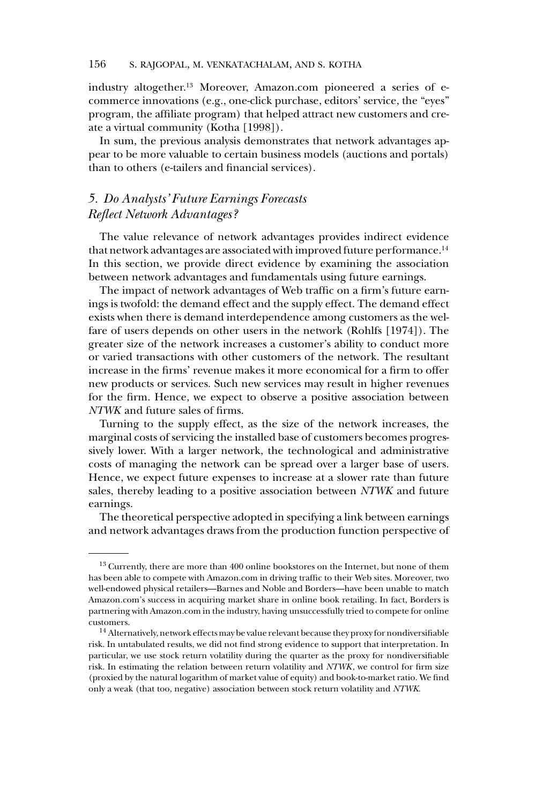industry altogether.13 Moreover, Amazon.com pioneered a series of ecommerce innovations (e.g., one-click purchase, editors' service, the "eyes" program, the affiliate program) that helped attract new customers and create a virtual community (Kotha [1998]).

In sum, the previous analysis demonstrates that network advantages appear to be more valuable to certain business models (auctions and portals) than to others (e-tailers and financial services).

## *5. Do Analysts' Future Earnings Forecasts Reflect Network Advantages?*

The value relevance of network advantages provides indirect evidence that network advantages are associated with improved future performance.14 In this section, we provide direct evidence by examining the association between network advantages and fundamentals using future earnings.

The impact of network advantages of Web traffic on a firm's future earnings is twofold: the demand effect and the supply effect. The demand effect exists when there is demand interdependence among customers as the welfare of users depends on other users in the network (Rohlfs [1974]). The greater size of the network increases a customer's ability to conduct more or varied transactions with other customers of the network. The resultant increase in the firms' revenue makes it more economical for a firm to offer new products or services. Such new services may result in higher revenues for the firm. Hence, we expect to observe a positive association between *NTWK* and future sales of firms.

Turning to the supply effect, as the size of the network increases, the marginal costs of servicing the installed base of customers becomes progressively lower. With a larger network, the technological and administrative costs of managing the network can be spread over a larger base of users. Hence, we expect future expenses to increase at a slower rate than future sales, thereby leading to a positive association between *NTWK* and future earnings.

The theoretical perspective adopted in specifying a link between earnings and network advantages draws from the production function perspective of

 $13$  Currently, there are more than  $400$  online bookstores on the Internet, but none of them has been able to compete with Amazon.com in driving traffic to their Web sites. Moreover, two well-endowed physical retailers—Barnes and Noble and Borders—have been unable to match Amazon.com's success in acquiring market share in online book retailing. In fact, Borders is partnering with Amazon.com in the industry, having unsuccessfully tried to compete for online customers.

 $^{14}$  Alternatively, network effects may be value relevant because they proxy for nondiversifiable risk. In untabulated results, we did not find strong evidence to support that interpretation. In particular, we use stock return volatility during the quarter as the proxy for nondiversifiable risk. In estimating the relation between return volatility and *NTWK*, we control for firm size (proxied by the natural logarithm of market value of equity) and book-to-market ratio. We find only a weak (that too, negative) association between stock return volatility and *NTWK.*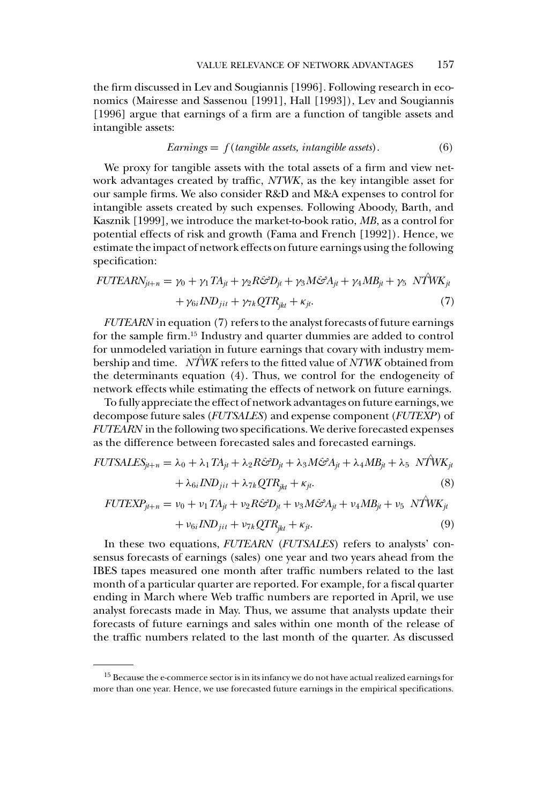the firm discussed in Lev and Sougiannis [1996]. Following research in economics (Mairesse and Sassenou [1991], Hall [1993]), Lev and Sougiannis [1996] argue that earnings of a firm are a function of tangible assets and intangible assets:

$$
Earnings = f(tangible assets, intangible assets).
$$
\n(6)

We proxy for tangible assets with the total assets of a firm and view network advantages created by traffic, *NTWK*, as the key intangible asset for our sample firms. We also consider R&D and M&A expenses to control for intangible assets created by such expenses. Following Aboody, Barth, and Kasznik [1999], we introduce the market-to-book ratio, *MB*, as a control for potential effects of risk and growth (Fama and French [1992]). Hence, we estimate the impact of network effects on future earnings using the following specification:

$$
FUTEARN_{jt+n} = \gamma_0 + \gamma_1 TA_{jt} + \gamma_2 R\mathcal{S}D_{jt} + \gamma_3 M\mathcal{S}A_{jt} + \gamma_4 MB_{jt} + \gamma_5 N\hat{T}WK_{jt} + \gamma_{6i} IND_{jit} + \gamma_{7k} QTR_{jkt} + \kappa_{jt}.
$$
\n(7)

*FUTEARN* in equation (7) refers to the analyst forecasts of future earnings for the sample firm.15 Industry and quarter dummies are added to control for unmodeled variation in future earnings that covary with industry membership and time. <sup>∧</sup> *NTWK* refers to the fitted value of *NTWK* obtained from the determinants equation (4). Thus, we control for the endogeneity of network effects while estimating the effects of network on future earnings.

To fully appreciate the effect of network advantages on future earnings, we decompose future sales (*FUTSALES*) and expense component (*FUTEXP*) of *FUTEARN* in the following two specifications. We derive forecasted expenses as the difference between forecasted sales and forecasted earnings.

$$
FUTSALES_{jt+n} = \lambda_0 + \lambda_1 TA_{jt} + \lambda_2 R\mathcal{S}D_{jt} + \lambda_3 M\mathcal{S}^2A_{jt} + \lambda_4 MB_{jt} + \lambda_5 NTWK_{jt}
$$
  
+  $\lambda_{6i} IND_{jit} + \lambda_{7k} QTR_{ikt} + \kappa_{jt}.$  (8)

∧

$$
FUTEXP_{jt+n} = v_0 + v_1 TA_{jt} + v_2 R\mathcal{S}D_{jt} + v_3 M\mathcal{S}A_{jt} + v_4 MB_{jt} + v_5 N\hat{T}WK_{jt} + v_{6i} IND_{jit} + v_{7k} QTR_{jkt} + \kappa_{jt}.
$$
\n(9)

In these two equations, *FUTEARN* (*FUTSALES*) refers to analysts' consensus forecasts of earnings (sales) one year and two years ahead from the IBES tapes measured one month after traffic numbers related to the last month of a particular quarter are reported. For example, for a fiscal quarter ending in March where Web traffic numbers are reported in April, we use analyst forecasts made in May. Thus, we assume that analysts update their forecasts of future earnings and sales within one month of the release of the traffic numbers related to the last month of the quarter. As discussed

<sup>&</sup>lt;sup>15</sup> Because the e-commerce sector is in its infancy we do not have actual realized earnings for more than one year. Hence, we use forecasted future earnings in the empirical specifications.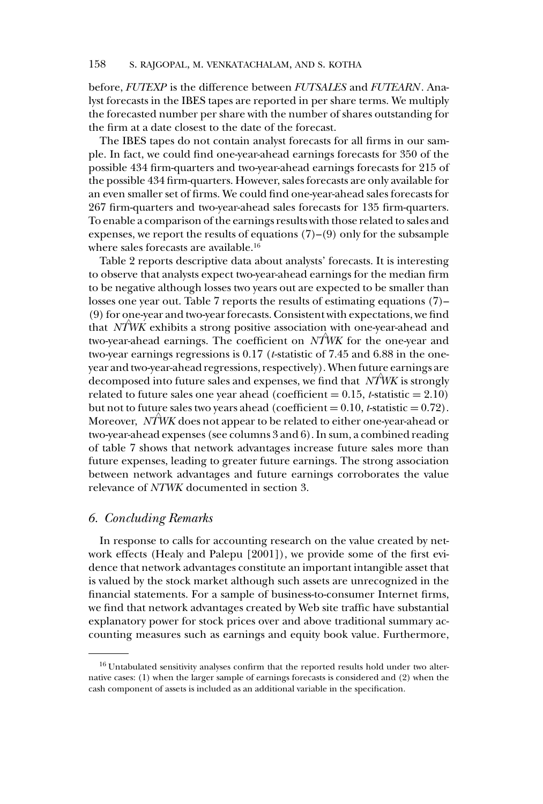before, *FUTEXP* is the difference between *FUTSALES* and *FUTEARN* . Analyst forecasts in the IBES tapes are reported in per share terms. We multiply the forecasted number per share with the number of shares outstanding for the firm at a date closest to the date of the forecast.

The IBES tapes do not contain analyst forecasts for all firms in our sample. In fact, we could find one-year-ahead earnings forecasts for 350 of the possible 434 firm-quarters and two-year-ahead earnings forecasts for 215 of the possible 434 firm-quarters. However, sales forecasts are only available for an even smaller set of firms. We could find one-year-ahead sales forecasts for 267 firm-quarters and two-year-ahead sales forecasts for 135 firm-quarters. To enable a comparison of the earnings results with those related to sales and expenses, we report the results of equations  $(7)-(9)$  only for the subsample where sales forecasts are available.<sup>16</sup>

Table 2 reports descriptive data about analysts' forecasts. It is interesting to observe that analysts expect two-year-ahead earnings for the median firm to be negative although losses two years out are expected to be smaller than losses one year out. Table 7 reports the results of estimating equations (7)– (9) for one-year and two-year forecasts. Consistent with expectations, we find that <sup>∧</sup> *NTWK* exhibits a strong positive association with one-year-ahead and two-year-ahead earnings. The coefficient on <sup>∧</sup> *NTWK* for the one-year and two-year earnings regressions is 0.17 (*t*-statistic of 7.45 and 6.88 in the oneyear and two-year-ahead regressions, respectively). When future earnings are decomposed into future sales and expenses, we find that <sup>∧</sup> *NTWK* is strongly related to future sales one year ahead (coefficient  $= 0.15$ , *t*-statistic  $= 2.10$ ) but not to future sales two years ahead (coefficient  $= 0.10$ , *t*-statistic  $= 0.72$ ). Moreover, <sup>∧</sup> *NTWK* does not appear to be related to either one-year-ahead or two-year-ahead expenses (see columns 3 and 6). In sum, a combined reading of table 7 shows that network advantages increase future sales more than future expenses, leading to greater future earnings. The strong association between network advantages and future earnings corroborates the value relevance of *NTWK* documented in section 3.

## *6. Concluding Remarks*

In response to calls for accounting research on the value created by network effects (Healy and Palepu [2001]), we provide some of the first evidence that network advantages constitute an important intangible asset that is valued by the stock market although such assets are unrecognized in the financial statements. For a sample of business-to-consumer Internet firms, we find that network advantages created by Web site traffic have substantial explanatory power for stock prices over and above traditional summary accounting measures such as earnings and equity book value. Furthermore,

<sup>16</sup> Untabulated sensitivity analyses confirm that the reported results hold under two alternative cases: (1) when the larger sample of earnings forecasts is considered and (2) when the cash component of assets is included as an additional variable in the specification.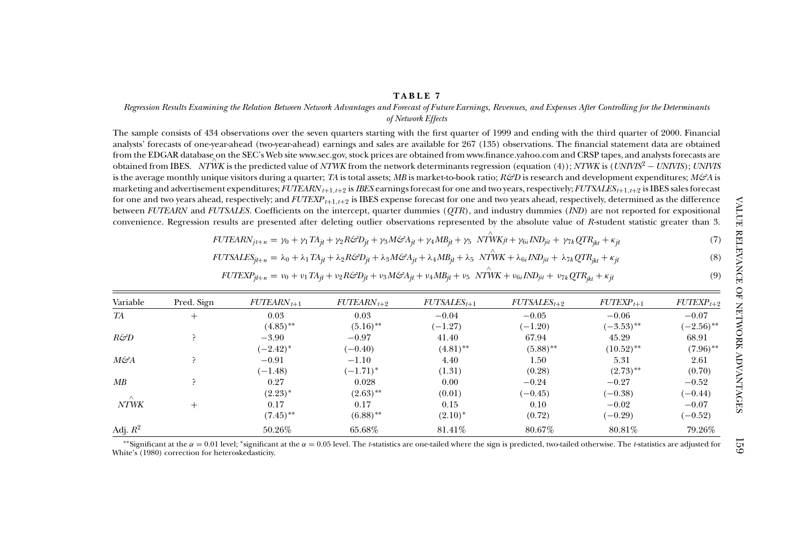#### Regression Results Examining the Relation Between Network Advantages and Forecast of Future Earnings, Revenues, and Expenses After Controlling for the Determinants *of Network Effects*

The sample consists of 434 observations over the seven quarters starting with the first quarter of 1999 and ending with the third quarter of 2000. Financial analysts' forecasts of one-year-ahead (two-year-ahead) earnings and sales are available for 267 (135) observations. The financial statement data are obtained from the EDGAR database<sub>x</sub>on the SEC's Web site www.sec.gov, stock prices are obtained from www.finance.yahoo.com and CRSP tapes, and analysts forecasts are obtained from IBES. *NTWK* is the predicted value of *NTWK* from the network determinants regression (equation (4)); *NTWK* is (*UNIVIS*<sup>2</sup> <sup>−</sup> *UNIVIS*); *UNIVIS* is the average monthly unique visitors during a quarter; *TA* is total assets; *MB* is market-to-book ratio; *R&D* is research and development expenditures; *M&A* is marketing and advertisement expenditures; *FUTEARN <sup>t</sup>*+1,*t*+<sup>2</sup> is *IBES* earnings forecast for one and two years, respectively; *FUTSALESt*+1,*t*+<sup>2</sup> is IBES sales forecast for one and two years ahead, respectively; and  $FUTEXP_{t+1,t+2}$  is IBES expense forecast for one and two years ahead, respectively, determined as the difference between *FUTEARN* and *FUTSALES*. Coefficients on the intercept, quarter dummies (*QTR*), and industry dummies (*IND*) are not reported for expositional convenience. Regression results are presented after deleting outlier observations represented by the absolute value of *R*-student statistic greater than 3.

$$
FUTEARN_{jt+n} = \gamma_0 + \gamma_1 TA_{jt} + \gamma_2 R\mathcal{S}^2D_{jt} + \gamma_3 M\mathcal{S}^2A_{jt} + \gamma_4 MB_{jt} + \gamma_5 N\hat{W}K_{jt} + \gamma_6 N\hat{D}_{jit} + \gamma_{7k} QTR_{jkt} + \kappa_{jt}
$$
\n
$$
\tag{7}
$$

$$
FUTSALES_{jt+n} = \lambda_0 + \lambda_1 TA_{jt} + \lambda_2 R\tilde{\omega}D_{jt} + \lambda_3 M\tilde{\omega}A_{jt} + \lambda_4 MB_{jt} + \lambda_5 N\hat{TW}K + \lambda_{6i} IND_{jit} + \lambda_{7k} QTR_{jkt} + \kappa_{jt}
$$
\n
$$
(8)
$$

| Variable               | Pred. Sign    | FUTEARN <sub>t+1</sub> | FUTEARN <sub>t+2</sub> | FUTSALES <sub>t+1</sub> | FUTSALES <sub>t+2</sub> | FUTEXP <sub>t+1</sub> | FUTEXP <sub>t+2</sub> |
|------------------------|---------------|------------------------|------------------------|-------------------------|-------------------------|-----------------------|-----------------------|
| $TA$                   | +             | 0.03                   | 0.03                   | -0.04                   | -0.05                   | -0.06                 | -0.07                 |
| $(4.85)^{***}$         | $(5.16)^{**}$ | $(-1.27)$              | $(-1.20)$              | $(-3.53)^{**}$          | $(-2.56)^{**}$          |                       |                       |
| $R\ddot{\mathcal{G}}D$ | ?             | -3.90                  | -0.97                  | 41.40                   | 67.94                   | 45.29                 | 68.91                 |
| $(-2.42)^{*}$          | $(-0.40)$     | $(4.81)^{**}$          | $(5.88)^{**}$          | $(10.52)^{**}$          | $(7.96)^{**}$           |                       |                       |
| $M\ddot{\mathcal{G}}A$ | ?             | -0.91                  | -1.10                  | 4.40                    | 1.50                    | 5.31                  | 2.61                  |
| $(-1.48)$              | $(-1.71)^{*}$ | $(1.31)$               | $(0.28)$               | $(2.73)^{**}$           | $(0.70)$                |                       |                       |
| $M\ddot{\mathcal{G}}A$ | ?             | 0.27                   | 0.028                  |                         |                         |                       |                       |

$$
FUTEXP_{j\ell+n} = v_0 + v_1 TA_{jt} + v_2 R\hat{\omega}D_{jt} + v_3 M\hat{\omega}A_{jt} + v_4 MB_{jt} + v_5 \quad NTWK + v_{6i} IND_{jit} + v_{7k} QTR_{jkt} + \kappa_{jt} \tag{9}
$$

∗∗Significant at the <sup>α</sup> <sup>=</sup> 0.01 level; <sup>∗</sup>significant at the <sup>α</sup> <sup>=</sup> 0.05 level. The *<sup>t</sup>*-statistics are one-tailed where the sign is predicted, two-tailed otherwise. The *<sup>t</sup>*-statistics are adjusted for White's (1980) correction for heteroskedasticity.

159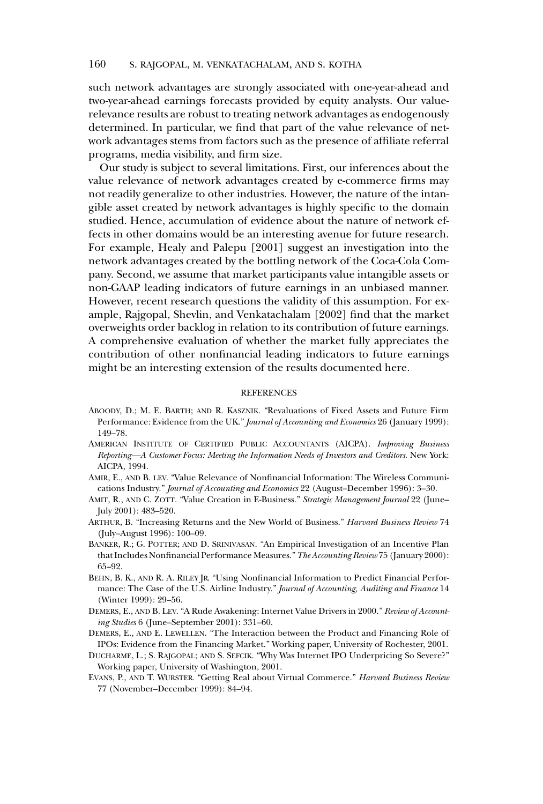such network advantages are strongly associated with one-year-ahead and two-year-ahead earnings forecasts provided by equity analysts. Our valuerelevance results are robust to treating network advantages as endogenously determined. In particular, we find that part of the value relevance of network advantages stems from factors such as the presence of affiliate referral programs, media visibility, and firm size.

Our study is subject to several limitations. First, our inferences about the value relevance of network advantages created by e-commerce firms may not readily generalize to other industries. However, the nature of the intangible asset created by network advantages is highly specific to the domain studied. Hence, accumulation of evidence about the nature of network effects in other domains would be an interesting avenue for future research. For example, Healy and Palepu [2001] suggest an investigation into the network advantages created by the bottling network of the Coca-Cola Company. Second, we assume that market participants value intangible assets or non-GAAP leading indicators of future earnings in an unbiased manner. However, recent research questions the validity of this assumption. For example, Rajgopal, Shevlin, and Venkatachalam [2002] find that the market overweights order backlog in relation to its contribution of future earnings. A comprehensive evaluation of whether the market fully appreciates the contribution of other nonfinancial leading indicators to future earnings might be an interesting extension of the results documented here.

## **REFERENCES**

- ABOODY, D.; M. E. BARTH; AND R. KASZNIK. "Revaluations of Fixed Assets and Future Firm Performance: Evidence from the UK." *Journal of Accounting and Economics* 26 (January 1999): 149–78.
- AMERICAN INSTITUTE OF CERTIFIED PUBLIC ACCOUNTANTS (AICPA). *Improving Business Reporting—A Customer Focus: Meeting the Information Needs of Investors and Creditors*. New York: AICPA, 1994.
- AMIR, E., AND B. LEV. "Value Relevance of Nonfinancial Information: The Wireless Communications Industry." *Journal of Accounting and Economics* 22 (August–December 1996): 3–30.
- AMIT, R., AND C. ZOTT. "Value Creation in E-Business." *Strategic Management Journal* 22 (June– July 2001): 483–520.
- ARTHUR, B. "Increasing Returns and the New World of Business." *Harvard Business Review* 74 (July–August 1996): 100–09.
- BANKER, R.; G. POTTER; AND D. SRINIVASAN. "An Empirical Investigation of an Incentive Plan that Includes Nonfinancial Performance Measures." *The Accounting Review* 75 (January 2000): 65–92.
- BEHN, B. K., AND R. A. RILEY JR. "Using Nonfinancial Information to Predict Financial Performance: The Case of the U.S. Airline Industry." *Journal of Accounting, Auditing and Finance* 14 (Winter 1999): 29–56.
- DEMERS, E., AND B. LEV. "A Rude Awakening: Internet Value Drivers in 2000." *Review of Accounting Studies* 6 (June–September 2001): 331–60.
- DEMERS, E., AND E. LEWELLEN. "The Interaction between the Product and Financing Role of IPOs: Evidence from the Financing Market." Working paper, University of Rochester, 2001.
- DUCHARME, L.; S. RAJGOPAL; AND S. SEFCIK. "Why Was Internet IPO Underpricing So Severe?" Working paper, University of Washington, 2001.
- EVANS, P., AND T. WURSTER. "Getting Real about Virtual Commerce." *Harvard Business Review* 77 (November–December 1999): 84–94.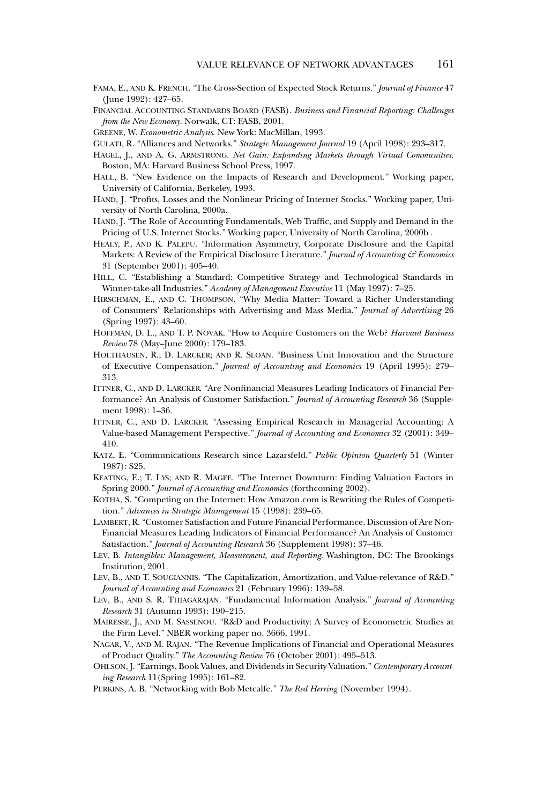- FAMA, E., AND K. FRENCH. "The Cross-Section of Expected Stock Returns." *Journal of Finance* 47 (June 1992): 427–65.
- FINANCIAL ACCOUNTING STANDARDS BOARD (FASB). *Business and Financial Reporting: Challenges from the New Economy.* Norwalk, CT: FASB, 2001.
- GREENE, W. *Econometric Analysis*. New York: MacMillan, 1993.
- GULATI, R. "Alliances and Networks." *Strategic Management Journal* 19 (April 1998): 293–317.
- HAGEL, J., AND A. G. ARMSTRONG. *Net Gain: Expanding Markets through Virtual Communities*. Boston, MA: Harvard Business School Press, 1997.
- HALL, B. "New Evidence on the Impacts of Research and Development." Working paper, University of California, Berkeley, 1993.
- HAND, J. "Profits, Losses and the Nonlinear Pricing of Internet Stocks." Working paper, University of North Carolina, 2000a.
- HAND, J. "The Role of Accounting Fundamentals, Web Traffic, and Supply and Demand in the Pricing of U.S. Internet Stocks." Working paper, University of North Carolina, 2000b .
- HEALY, P., AND K. PALEPU. "Information Asymmetry, Corporate Disclosure and the Capital Markets: A Review of the Empirical Disclosure Literature." *Journal of Accounting & Economics* 31 (September 2001): 405–40.
- HILL, C. "Establishing a Standard: Competitive Strategy and Technological Standards in Winner-take-all Industries." *Academy of Management Executive* 11 (May 1997): 7–25.
- HIRSCHMAN, E., AND C. THOMPSON. "Why Media Matter: Toward a Richer Understanding of Consumers' Relationships with Advertising and Mass Media." *Journal of Advertising* 26 (Spring 1997): 43–60.
- HOFFMAN, D. L., AND T. P. NOVAK. "How to Acquire Customers on the Web? *Harvard Business Review* 78 (May–June 2000): 179–183.
- HOLTHAUSEN, R.; D. LARCKER; AND R. SLOAN. "Business Unit Innovation and the Structure of Executive Compensation." *Journal of Accounting and Economics* 19 (April 1995): 279– 313.
- ITTNER, C., AND D. LARCKER. "Are Nonfinancial Measures Leading Indicators of Financial Performance? An Analysis of Customer Satisfaction." *Journal of Accounting Research* 36 (Supplement 1998): 1–36.
- ITTNER, C., AND D. LARCKER. "Assessing Empirical Research in Managerial Accounting: A Value-based Management Perspective." *Journal of Accounting and Economics* 32 (2001): 349– 410.
- KATZ, E. "Communications Research since Lazarsfeld." *Public Opinion Quarterly* 51 (Winter 1987): S25.
- KEATING, E.; T. LYS; AND R. MAGEE. "The Internet Downturn: Finding Valuation Factors in Spring 2000." *Journal of Accounting and Economics* (forthcoming 2002).
- KOTHA, S. "Competing on the Internet: How Amazon.com is Rewriting the Rules of Competition." *Advances in Strategic Management* 15 (1998): 239–65.
- LAMBERT, R. "Customer Satisfaction and Future Financial Performance. Discussion of Are Non-Financial Measures Leading Indicators of Financial Performance? An Analysis of Customer Satisfaction." *Journal of Accounting Research* 36 (Supplement 1998): 37–46.
- LEV, B. *Intangibles: Management, Measurement, and Reporting*. Washington, DC: The Brookings Institution, 2001.
- LEV, B., AND T. SOUGIANNIS. "The Capitalization, Amortization, and Value-relevance of R&D." *Journal of Accounting and Economics* 21 (February 1996): 139–58.
- LEV, B., AND S. R. THIAGARAJAN. "Fundamental Information Analysis." *Journal of Accounting Research* 31 (Autumn 1993): 190–215.
- MAIRESSE, J., AND M. SASSENOU. "R&D and Productivity: A Survey of Econometric Studies at the Firm Level." NBER working paper no. 3666, 1991.
- NAGAR, V., AND M. RAJAN. "The Revenue Implications of Financial and Operational Measures of Product Quality." *The Accounting Review* 76 (October 2001): 495–513.
- OHLSON, J. "Earnings, Book Values, and Dividends in Security Valuation." *Contemporary Accounting Research* 11(Spring 1995): 161–82.
- PERKINS, A. B. "Networking with Bob Metcalfe." *The Red Herring* (November 1994).